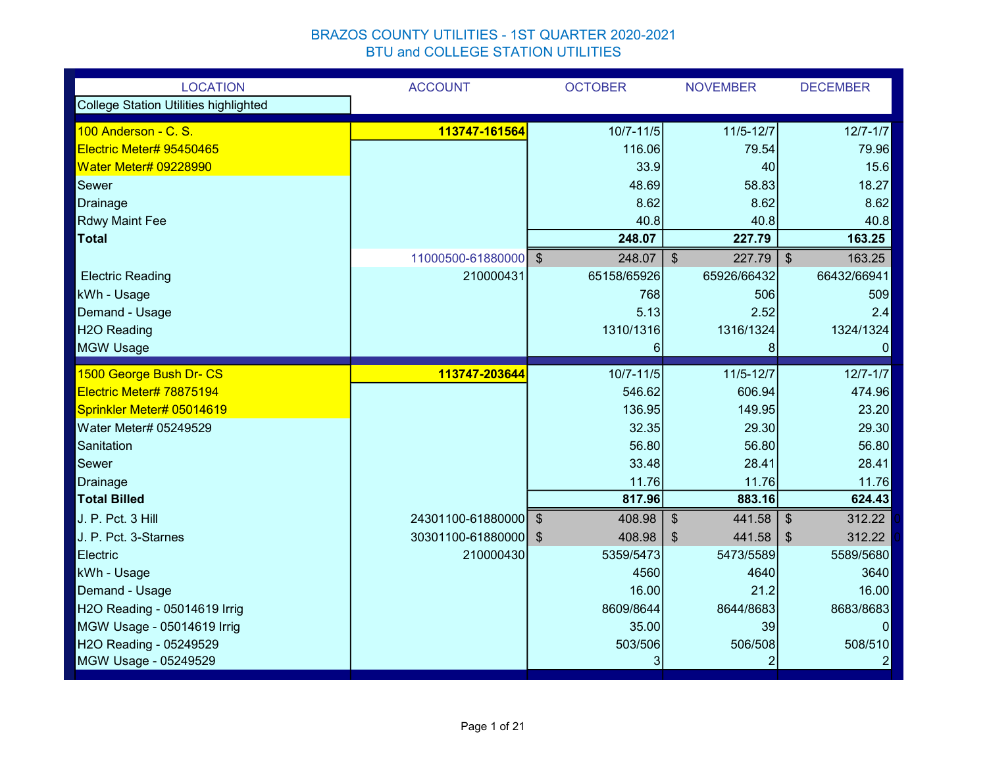| <b>LOCATION</b>                       | <b>ACCOUNT</b>       | <b>OCTOBER</b>          | <b>NOVEMBER</b>         | <b>DECEMBER</b>                      |
|---------------------------------------|----------------------|-------------------------|-------------------------|--------------------------------------|
| College Station Utilities highlighted |                      |                         |                         |                                      |
| 100 Anderson - C. S.                  | 113747-161564        | $10/7 - 11/5$           | $11/5 - 12/7$           | $12/7 - 1/7$                         |
| Electric Meter# 95450465              |                      | 116.06                  | 79.54                   | 79.96                                |
| <b>Water Meter# 09228990</b>          |                      | 33.9                    | 40                      | 15.6                                 |
| Sewer                                 |                      | 48.69                   | 58.83                   | 18.27                                |
| Drainage                              |                      | 8.62                    | 8.62                    | 8.62                                 |
| <b>Rdwy Maint Fee</b>                 |                      | 40.8                    | 40.8                    | 40.8                                 |
| <b>Total</b>                          |                      | 248.07                  | 227.79                  | 163.25                               |
|                                       | 11000500-61880000 \$ | 248.07                  | $\mathcal{S}$<br>227.79 | $\mathcal{S}$<br>163.25              |
| <b>Electric Reading</b>               | 210000431            | 65158/65926             | 65926/66432             | 66432/66941                          |
| kWh - Usage                           |                      | 768                     | 506                     | 509                                  |
| Demand - Usage                        |                      | 5.13                    | 2.52                    | 2.4                                  |
| <b>H2O Reading</b>                    |                      | 1310/1316               | 1316/1324               | 1324/1324                            |
| <b>MGW Usage</b>                      |                      | 6                       | 8                       | $\overline{0}$                       |
| 1500 George Bush Dr- CS               | 113747-203644        | $10/7 - 11/5$           | $11/5 - 12/7$           | $12/7 - 1/7$                         |
| Electric Meter# 78875194              |                      | 546.62                  | 606.94                  | 474.96                               |
| Sprinkler Meter# 05014619             |                      | 136.95                  | 149.95                  | 23.20                                |
| Water Meter# 05249529                 |                      | 32.35                   | 29.30                   | 29.30                                |
| Sanitation                            |                      | 56.80                   | 56.80                   | 56.80                                |
| Sewer                                 |                      | 33.48                   | 28.41                   | 28.41                                |
| <b>Drainage</b>                       |                      | 11.76                   | 11.76                   | 11.76                                |
| <b>Total Billed</b>                   |                      | 817.96                  | 883.16                  | 624.43                               |
| J. P. Pct. 3 Hill                     | 24301100-61880000    | 408.98<br>$\sqrt[3]{2}$ | 441.58<br>\$            | 312.22<br>$\mathfrak{F}$             |
| J. P. Pct. 3-Starnes                  | 30301100-61880000 \$ | 408.98                  | 441.58<br>\$            | 312.22<br>$\boldsymbol{\mathsf{\$}}$ |
| Electric                              | 210000430            | 5359/5473               | 5473/5589               | 5589/5680                            |
| kWh - Usage                           |                      | 4560                    | 4640                    | 3640                                 |
| Demand - Usage                        |                      | 16.00                   | 21.2                    | 16.00                                |
| H2O Reading - 05014619 Irrig          |                      | 8609/8644               | 8644/8683               | 8683/8683                            |
| MGW Usage - 05014619 Irrig            |                      | 35.00                   | 39                      | $\vert$ 0                            |
| H2O Reading - 05249529                |                      | 503/506                 | 506/508                 | 508/510                              |
| MGW Usage - 05249529                  |                      | 3                       | 2                       | $\overline{2}$                       |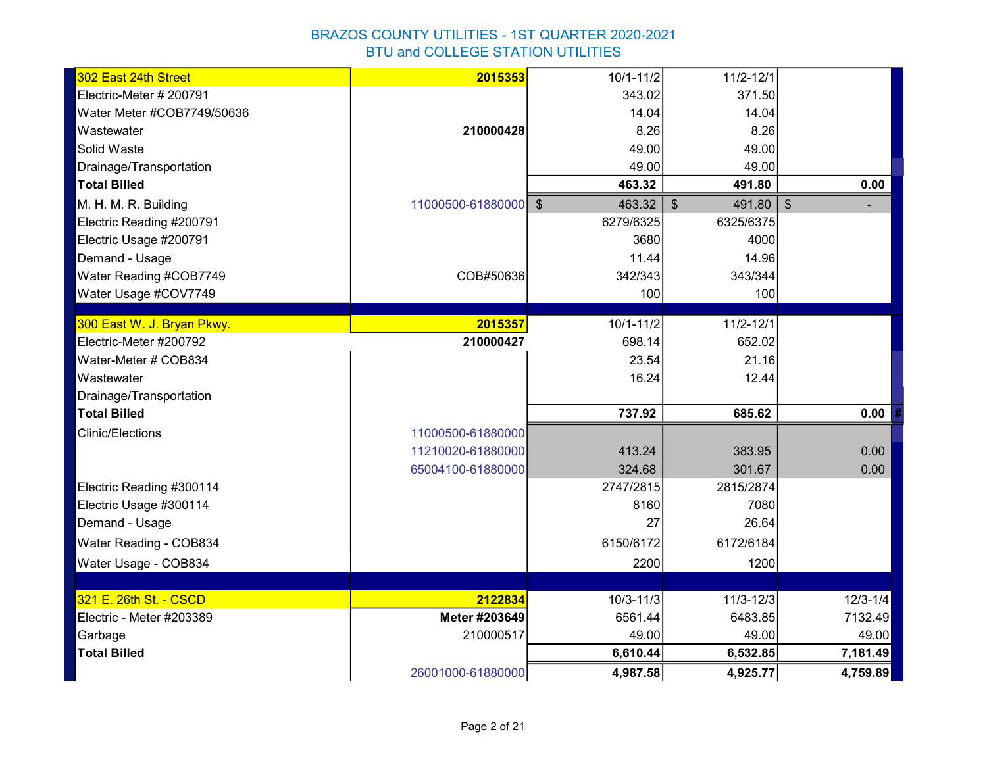| 302 East 24th Street       | 2015353              | $10/1 - 11/2$ | $11/2 - 12/1$           |              |
|----------------------------|----------------------|---------------|-------------------------|--------------|
| Electric-Meter # 200791    |                      | 343.02        | 371.50                  |              |
| Water Meter #COB7749/50636 |                      | 14.04         | 14.04                   |              |
| Wastewater                 | 210000428            | 8.26          | 8.26                    |              |
| Solid Waste                |                      | 49.00         | 49.00                   |              |
| Drainage/Transportation    |                      | 49.00         | 49.00                   |              |
| <b>Total Billed</b>        |                      | 463.32        | 491.80                  | 0.00         |
| M. H. M. R. Building       | 11000500-61880000 \$ | 463.32        | $\frac{1}{3}$<br>491.80 | $\sqrt{2}$   |
| Electric Reading #200791   |                      | 6279/6325     | 6325/6375               |              |
| Electric Usage #200791     |                      | 3680          | 4000                    |              |
| Demand - Usage             |                      | 11.44         | 14.96                   |              |
| Water Reading #COB7749     | COB#50636            | 342/343       | 343/344                 |              |
| Water Usage #COV7749       |                      | 100           | 100                     |              |
| 300 East W. J. Bryan Pkwy. | 2015357              | $10/1 - 11/2$ | $11/2 - 12/1$           |              |
| Electric-Meter #200792     | 210000427            | 698.14        | 652.02                  |              |
| Water-Meter # COB834       |                      | 23.54         | 21.16                   |              |
| Wastewater                 |                      | 16.24         | 12.44                   |              |
| Drainage/Transportation    |                      |               |                         |              |
| <b>Total Billed</b>        |                      | 737.92        | 685.62                  | 0.00         |
| <b>Clinic/Elections</b>    | 11000500-61880000    |               |                         |              |
|                            | 11210020-61880000    | 413.24        | 383.95                  | 0.00         |
|                            | 65004100-61880000    | 324.68        | 301.67                  | 0.00         |
| Electric Reading #300114   |                      | 2747/2815     | 2815/2874               |              |
| Electric Usage #300114     |                      | 8160          | 7080                    |              |
| Demand - Usage             |                      | 27            | 26.64                   |              |
| Water Reading - COB834     |                      | 6150/6172     | 6172/6184               |              |
| Water Usage - COB834       |                      | 2200          | 1200                    |              |
|                            |                      |               |                         |              |
| 321 E. 26th St. - CSCD     | 2122834              | $10/3 - 11/3$ | $11/3 - 12/3$           | $12/3 - 1/4$ |
| Electric - Meter #203389   | Meter #203649        | 6561.44       | 6483.85                 | 7132.49      |
| Garbage                    | 210000517            | 49.00         | 49.00                   | 49.00        |
| <b>Total Billed</b>        |                      | 6,610.44      | 6,532.85                | 7,181.49     |
|                            | 26001000-61880000    | 4,987.58      | 4,925.77                | 4,759.89     |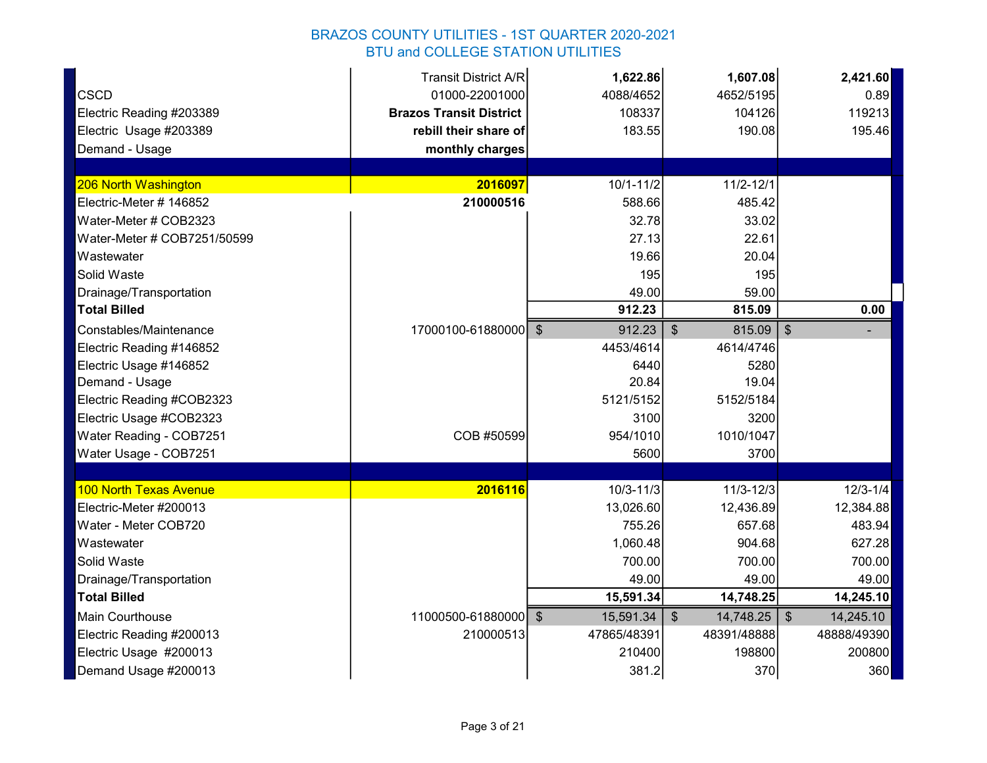|                             | <b>Transit District A/R</b>    | 1,622.86      | 1,607.08                          | 2,421.60                    |
|-----------------------------|--------------------------------|---------------|-----------------------------------|-----------------------------|
| <b>CSCD</b>                 | 01000-22001000                 | 4088/4652     | 4652/5195                         | 0.89                        |
| Electric Reading #203389    | <b>Brazos Transit District</b> | 108337        | 104126                            | 119213                      |
| Electric Usage #203389      | rebill their share of          | 183.55        | 190.08                            | 195.46                      |
| Demand - Usage              | monthly charges                |               |                                   |                             |
|                             |                                |               |                                   |                             |
| 206 North Washington        | 2016097                        | $10/1 - 11/2$ | $11/2 - 12/1$                     |                             |
| Electric-Meter # 146852     | 210000516                      | 588.66        | 485.42                            |                             |
| Water-Meter # COB2323       |                                | 32.78         | 33.02                             |                             |
| Water-Meter # COB7251/50599 |                                | 27.13         | 22.61                             |                             |
| Wastewater                  |                                | 19.66         | 20.04                             |                             |
| Solid Waste                 |                                | 195           | 195                               |                             |
| Drainage/Transportation     |                                | 49.00         | 59.00                             |                             |
| <b>Total Billed</b>         |                                | 912.23        | 815.09                            | 0.00                        |
| Constables/Maintenance      | 17000100-61880000 \$           | 912.23        | $\sqrt[6]{\frac{1}{2}}$<br>815.09 | $\sqrt[6]{2}$               |
| Electric Reading #146852    |                                | 4453/4614     | 4614/4746                         |                             |
| Electric Usage #146852      |                                | 6440          | 5280                              |                             |
| Demand - Usage              |                                | 20.84         | 19.04                             |                             |
| Electric Reading #COB2323   |                                | 5121/5152     | 5152/5184                         |                             |
| Electric Usage #COB2323     |                                | 3100          | 3200                              |                             |
| Water Reading - COB7251     | COB #50599                     | 954/1010      | 1010/1047                         |                             |
| Water Usage - COB7251       |                                | 5600          | 3700                              |                             |
|                             |                                |               |                                   |                             |
| 100 North Texas Avenue      | 2016116                        | $10/3 - 11/3$ | $11/3 - 12/3$                     | $12/3 - 1/4$                |
| Electric-Meter #200013      |                                | 13,026.60     | 12,436.89                         | 12,384.88                   |
| Water - Meter COB720        |                                | 755.26        | 657.68                            | 483.94                      |
| Wastewater                  |                                | 1,060.48      | 904.68                            | 627.28                      |
| Solid Waste                 |                                | 700.00        | 700.00                            | 700.00                      |
| Drainage/Transportation     |                                | 49.00         | 49.00                             | 49.00                       |
| <b>Total Billed</b>         |                                | 15,591.34     | 14,748.25                         | 14,245.10                   |
| Main Courthouse             | 11000500-61880000 \$           | 15,591.34     | $\mathfrak{F}$<br>14,748.25       | $\mathfrak{S}$<br>14,245.10 |
| Electric Reading #200013    | 210000513                      | 47865/48391   | 48391/48888                       | 48888/49390                 |
| Electric Usage #200013      |                                | 210400        | 198800                            | 200800                      |
| Demand Usage #200013        |                                | 381.2         | 370                               | 360                         |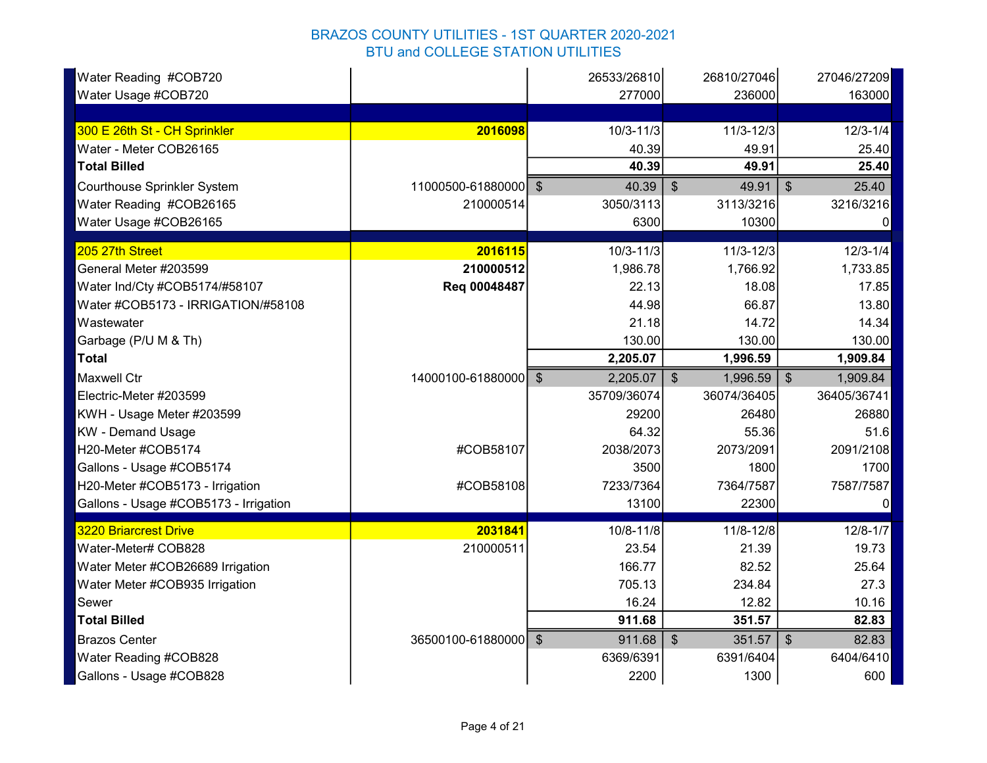| Water Reading #COB720                 |                      | 26533/26810   | 26810/27046                | 27046/27209                      |
|---------------------------------------|----------------------|---------------|----------------------------|----------------------------------|
| Water Usage #COB720                   |                      | 277000        | 236000                     | 163000                           |
|                                       |                      |               |                            |                                  |
| 300 E 26th St - CH Sprinkler          | 2016098              | $10/3 - 11/3$ | $11/3 - 12/3$              | $12/3 - 1/4$                     |
| Water - Meter COB26165                |                      | 40.39         | 49.91                      | 25.40                            |
| <b>Total Billed</b>                   |                      | 40.39         | 49.91                      | 25.40                            |
| <b>Courthouse Sprinkler System</b>    | 11000500-61880000 \$ | 40.39         | $\mathfrak{F}$<br>49.91    | $\sqrt[6]{\frac{1}{2}}$<br>25.40 |
| Water Reading #COB26165               | 210000514            | 3050/3113     | 3113/3216                  | 3216/3216                        |
| Water Usage #COB26165                 |                      | 6300          | 10300                      | 0                                |
| 205 27th Street                       | 2016115              | $10/3 - 11/3$ | $11/3 - 12/3$              | $12/3 - 1/4$                     |
| General Meter #203599                 | 210000512            | 1,986.78      | 1,766.92                   | 1,733.85                         |
| Water Ind/Cty #COB5174/#58107         | Req 00048487         | 22.13         | 18.08                      | 17.85                            |
| Water #COB5173 - IRRIGATION/#58108    |                      | 44.98         | 66.87                      | 13.80                            |
| Wastewater                            |                      | 21.18         | 14.72                      | 14.34                            |
| Garbage (P/U M & Th)                  |                      | 130.00        | 130.00                     | 130.00                           |
| <b>Total</b>                          |                      | 2,205.07      | 1,996.59                   | 1,909.84                         |
| <b>Maxwell Ctr</b>                    | 14000100-61880000 \$ | 2,205.07      | 1,996.59<br>$\mathfrak{F}$ | $\mathfrak{S}$<br>1,909.84       |
| Electric-Meter #203599                |                      | 35709/36074   | 36074/36405                | 36405/36741                      |
| KWH - Usage Meter #203599             |                      | 29200         | 26480                      | 26880                            |
| <b>KW</b> - Demand Usage              |                      | 64.32         | 55.36                      | 51.6                             |
| H20-Meter #COB5174                    | #COB58107            | 2038/2073     | 2073/2091                  | 2091/2108                        |
| Gallons - Usage #COB5174              |                      | 3500          | 1800                       | 1700                             |
| H20-Meter #COB5173 - Irrigation       | #COB58108            | 7233/7364     | 7364/7587                  | 7587/7587                        |
| Gallons - Usage #COB5173 - Irrigation |                      | 13100         | 22300                      |                                  |
| <b>3220 Briarcrest Drive</b>          | 2031841              | 10/8-11/8     | 11/8-12/8                  | $12/8 - 1/7$                     |
| Water-Meter# COB828                   | 210000511            | 23.54         | 21.39                      | 19.73                            |
| Water Meter #COB26689 Irrigation      |                      | 166.77        | 82.52                      | 25.64                            |
| Water Meter #COB935 Irrigation        |                      | 705.13        | 234.84                     | 27.3                             |
| Sewer                                 |                      | 16.24         | 12.82                      | 10.16                            |
| <b>Total Billed</b>                   |                      | 911.68        | 351.57                     | 82.83                            |
| <b>Brazos Center</b>                  | 36500100-61880000 \$ | 911.68        | $\sqrt[6]{3}$<br>351.57    | 82.83<br>$\sqrt[6]{\frac{1}{2}}$ |
| Water Reading #COB828                 |                      | 6369/6391     | 6391/6404                  | 6404/6410                        |
| Gallons - Usage #COB828               |                      | 2200          | 1300                       | 600                              |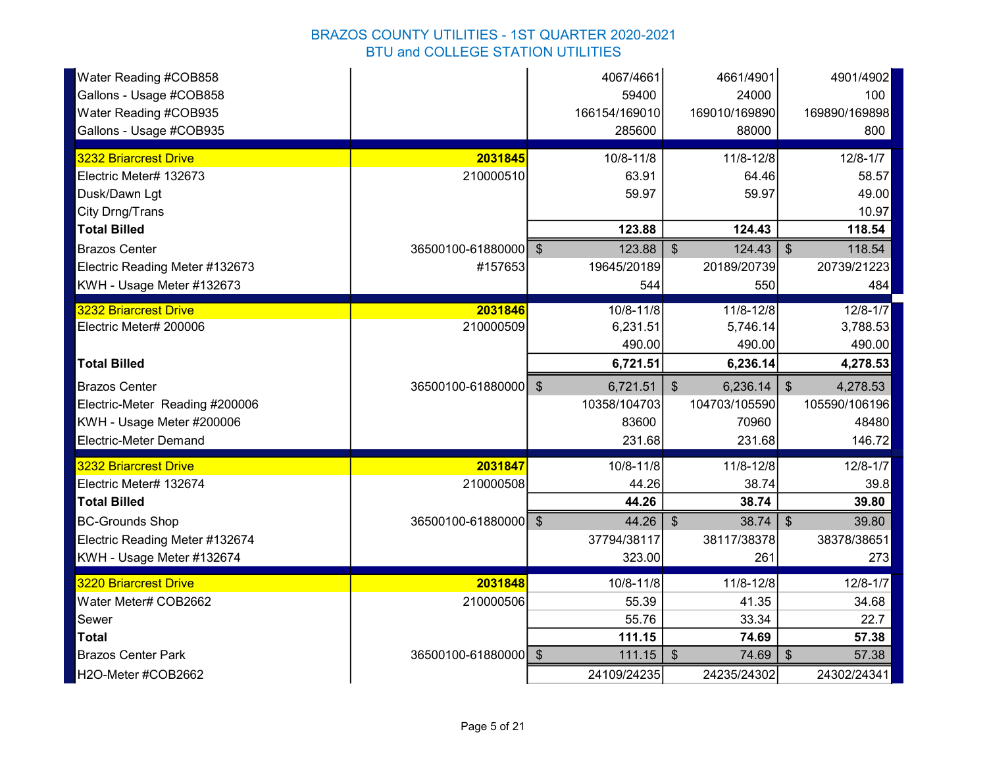| Water Reading #COB858          |                      | 4067/4661     | 4661/4901                         | 4901/4902                 |
|--------------------------------|----------------------|---------------|-----------------------------------|---------------------------|
| Gallons - Usage #COB858        |                      | 59400         | 24000                             | 100                       |
| Water Reading #COB935          |                      | 166154/169010 | 169010/169890                     | 169890/169898             |
| Gallons - Usage #COB935        |                      | 285600        | 88000                             | 800                       |
| 3232 Briarcrest Drive          | 2031845              | 10/8-11/8     | 11/8-12/8                         | $12/8 - 1/7$              |
| Electric Meter# 132673         | 210000510            | 63.91         | 64.46                             | 58.57                     |
| Dusk/Dawn Lgt                  |                      | 59.97         | 59.97                             | 49.00                     |
| City Drng/Trans                |                      |               |                                   | 10.97                     |
| <b>Total Billed</b>            |                      | 123.88        | 124.43                            | 118.54                    |
| <b>Brazos Center</b>           | 36500100-61880000 \$ | 123.88        | $\sqrt[6]{\frac{1}{2}}$<br>124.43 | $\sqrt[6]{3}$<br>118.54   |
| Electric Reading Meter #132673 | #157653              | 19645/20189   | 20189/20739                       | 20739/21223               |
| KWH - Usage Meter #132673      |                      | 544           | 550                               | 484                       |
| <b>3232 Briarcrest Drive</b>   | 2031846              | 10/8-11/8     | 11/8-12/8                         | $12/8 - 1/7$              |
| Electric Meter# 200006         | 210000509            | 6,231.51      | 5,746.14                          | 3,788.53                  |
|                                |                      | 490.00        | 490.00                            | 490.00                    |
| <b>Total Billed</b>            |                      | 6,721.51      | 6,236.14                          | 4,278.53                  |
| <b>Brazos Center</b>           | 36500100-61880000 \$ | 6,721.51      | $\mathcal{S}$<br>6,236.14         | $\sqrt[3]{2}$<br>4,278.53 |
| Electric-Meter Reading #200006 |                      |               |                                   |                           |
|                                |                      | 10358/104703  | 104703/105590                     | 105590/106196             |
| KWH - Usage Meter #200006      |                      | 83600         | 70960                             | 48480                     |
| Electric-Meter Demand          |                      | 231.68        | 231.68                            | 146.72                    |
| <b>3232 Briarcrest Drive</b>   | 2031847              | 10/8-11/8     | 11/8-12/8                         | $12/8 - 1/7$              |
| Electric Meter# 132674         | 210000508            | 44.26         | 38.74                             | 39.8                      |
| <b>Total Billed</b>            |                      | 44.26         | 38.74                             | 39.80                     |
| <b>BC-Grounds Shop</b>         | 36500100-61880000 \$ | 44.26         | 38.74<br>-\$                      | 39.80<br>$\frac{3}{2}$    |
| Electric Reading Meter #132674 |                      | 37794/38117   | 38117/38378                       | 38378/38651               |
| KWH - Usage Meter #132674      |                      | 323.00        | 261                               | 273                       |
| 3220 Briarcrest Drive          | 2031848              | 10/8-11/8     | 11/8-12/8                         | $12/8 - 1/7$              |
| Water Meter# COB2662           | 210000506            | 55.39         | 41.35                             | 34.68                     |
| Sewer                          |                      | 55.76         | 33.34                             | 22.7                      |
| <b>Total</b>                   |                      | 111.15        | 74.69                             | 57.38                     |
| <b>Brazos Center Park</b>      | 36500100-61880000 \$ | 111.15        | $\sqrt{3}$<br>74.69               | $\frac{1}{2}$<br>57.38    |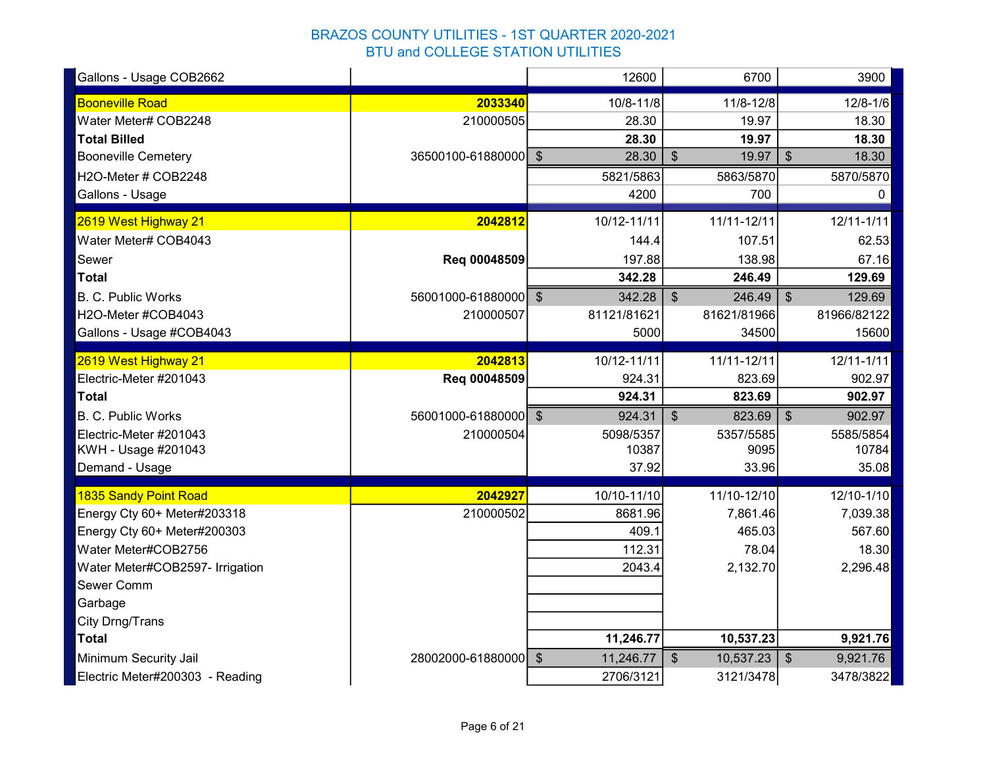| Gallons - Usage COB2662         |                      | 12600       | 6700                            | 3900                      |
|---------------------------------|----------------------|-------------|---------------------------------|---------------------------|
| <b>Booneville Road</b>          | 2033340              | 10/8-11/8   | 11/8-12/8                       | $12/8 - 1/6$              |
| Water Meter# COB2248            | 210000505            | 28.30       | 19.97                           | 18.30                     |
| <b>Total Billed</b>             |                      | 28.30       | 19.97                           | 18.30                     |
| <b>Booneville Cemetery</b>      | 36500100-61880000 \$ | 28.30       | $\mathcal{S}$<br>19.97          | $\mathbb{S}$<br>18.30     |
| H2O-Meter # COB2248             |                      | 5821/5863   | 5863/5870                       | 5870/5870                 |
| Gallons - Usage                 |                      | 4200        | 700                             | 0                         |
| 2619 West Highway 21            | 2042812              | 10/12-11/11 | 11/11-12/11                     | $12/11 - 1/11$            |
| Water Meter# COB4043            |                      | 144.4       | 107.51                          | 62.53                     |
| Sewer                           | Req 00048509         | 197.88      | 138.98                          | 67.16                     |
| <b>Total</b>                    |                      | 342.28      | 246.49                          | 129.69                    |
| <b>B. C. Public Works</b>       | 56001000-61880000 \$ | 342.28      | $\sqrt[6]{3}$<br>246.49         | 129.69<br>\$              |
| H2O-Meter #COB4043              | 210000507            | 81121/81621 | 81621/81966                     | 81966/82122               |
| Gallons - Usage #COB4043        |                      | 5000        | 34500                           | 15600                     |
| 2619 West Highway 21            | 2042813              | 10/12-11/11 | 11/11-12/11                     | $12/11 - 1/11$            |
| Electric-Meter #201043          | Req 00048509         | 924.31      | 823.69                          | 902.97                    |
| <b>Total</b>                    |                      | 924.31      | 823.69                          | 902.97                    |
| <b>B. C. Public Works</b>       | 56001000-61880000 \$ | 924.31      | 823.69<br>$\mathfrak{F}$        | $\mathsf{\$}$<br>902.97   |
| Electric-Meter #201043          | 210000504            | 5098/5357   | 5357/5585                       | 5585/5854                 |
| KWH - Usage #201043             |                      | 10387       | 9095                            | 10784                     |
| Demand - Usage                  |                      | 37.92       | 33.96                           | 35.08                     |
| <b>1835 Sandy Point Road</b>    | 2042927              | 10/10-11/10 | 11/10-12/10                     | 12/10-1/10                |
| Energy Cty 60+ Meter#203318     | 210000502            | 8681.96     | 7,861.46                        | 7,039.38                  |
| Energy Cty 60+ Meter#200303     |                      | 409.1       | 465.03                          | 567.60                    |
| Water Meter#COB2756             |                      | 112.31      | 78.04                           | 18.30                     |
| Water Meter#COB2597- Irrigation |                      | 2043.4      | 2,132.70                        | 2,296.48                  |
| Sewer Comm                      |                      |             |                                 |                           |
| Garbage                         |                      |             |                                 |                           |
| City Drng/Trans                 |                      |             |                                 |                           |
| <b>Total</b>                    |                      | 11,246.77   | 10,537.23                       | 9,921.76                  |
| Minimum Security Jail           | 28002000-61880000 \$ | 11,246.77   | $\mathbf{\hat{s}}$<br>10,537.23 | $\sqrt[6]{3}$<br>9,921.76 |
| Electric Meter#200303 - Reading |                      | 2706/3121   | 3121/3478                       | 3478/3822                 |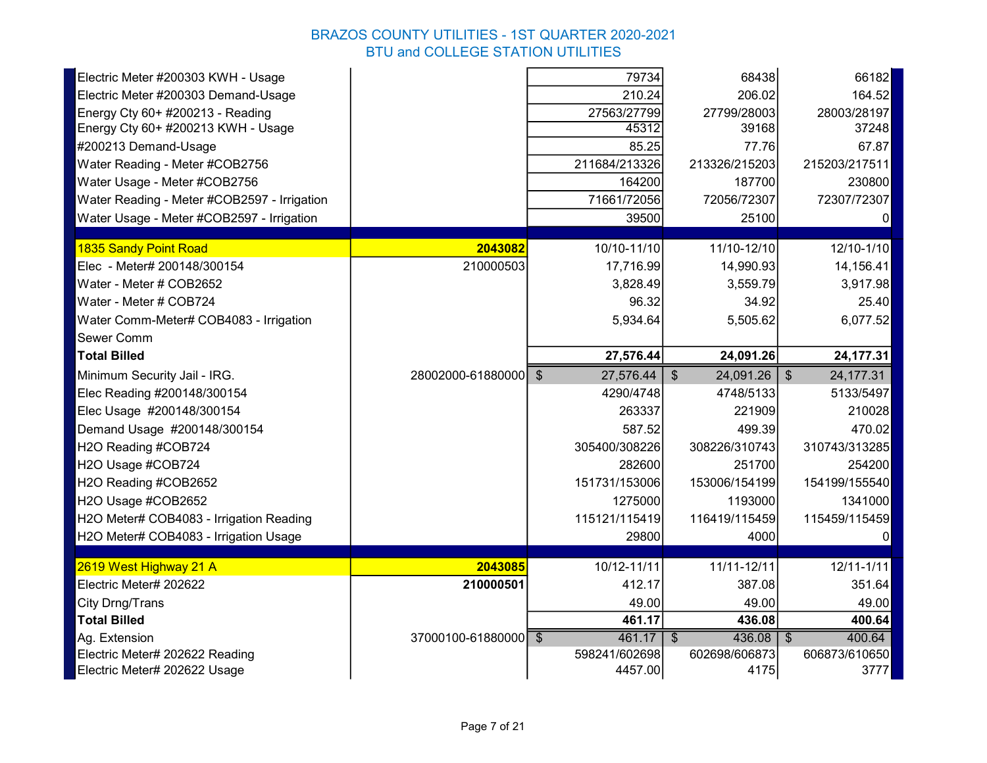| Electric Meter #200303 KWH - Usage                                               |                      | 79734                    | 68438                              | 66182                       |
|----------------------------------------------------------------------------------|----------------------|--------------------------|------------------------------------|-----------------------------|
| Electric Meter #200303 Demand-Usage                                              |                      | 210.24                   | 206.02                             | 164.52                      |
| Energy Cty 60+ #200213 - Reading                                                 |                      | 27563/27799              | 27799/28003                        | 28003/28197                 |
| Energy Cty 60+ #200213 KWH - Usage                                               |                      | 45312                    | 39168                              | 37248                       |
| #200213 Demand-Usage                                                             |                      | 85.25                    | 77.76                              | 67.87                       |
| Water Reading - Meter #COB2756                                                   |                      | 211684/213326            | 213326/215203                      | 215203/217511               |
| Water Usage - Meter #COB2756                                                     |                      | 164200                   | 187700                             | 230800                      |
| Water Reading - Meter #COB2597 - Irrigation                                      |                      | 71661/72056              | 72056/72307                        | 72307/72307                 |
| Water Usage - Meter #COB2597 - Irrigation                                        |                      | 39500                    | 25100                              | $\Omega$                    |
| 1835 Sandy Point Road                                                            | 2043082              | 10/10-11/10              | 11/10-12/10                        | 12/10-1/10                  |
| Elec - Meter# 200148/300154                                                      | 210000503            | 17,716.99                | 14,990.93                          | 14,156.41                   |
| Water - Meter # COB2652                                                          |                      | 3,828.49                 | 3,559.79                           | 3,917.98                    |
| Water - Meter # COB724                                                           |                      | 96.32                    | 34.92                              | 25.40                       |
| Water Comm-Meter# COB4083 - Irrigation                                           |                      | 5,934.64                 | 5,505.62                           | 6,077.52                    |
| Sewer Comm                                                                       |                      |                          |                                    |                             |
| <b>Total Billed</b>                                                              |                      | 27,576.44                | 24,091.26                          | 24,177.31                   |
| Minimum Security Jail - IRG.                                                     | 28002000-61880000 \$ | 27,576.44                | 24,091.26<br>$\sqrt[6]{3}$         | 24,177.31<br>$\mathfrak{F}$ |
| Elec Reading #200148/300154                                                      |                      | 4290/4748                | 4748/5133                          | 5133/5497                   |
| Elec Usage #200148/300154                                                        |                      | 263337                   | 221909                             | 210028                      |
| Demand Usage #200148/300154                                                      |                      | 587.52                   | 499.39                             | 470.02                      |
| H2O Reading #COB724                                                              |                      | 305400/308226            | 308226/310743                      | 310743/313285               |
| H2O Usage #COB724                                                                |                      |                          |                                    |                             |
|                                                                                  |                      |                          |                                    |                             |
|                                                                                  |                      | 282600                   | 251700                             | 254200                      |
| H2O Reading #COB2652                                                             |                      | 151731/153006            | 153006/154199                      | 154199/155540               |
| H2O Usage #COB2652                                                               |                      | 1275000                  | 1193000                            | 1341000                     |
| H2O Meter# COB4083 - Irrigation Reading<br>H2O Meter# COB4083 - Irrigation Usage |                      | 115121/115419<br>29800   | 116419/115459<br>4000              | 115459/115459<br>0          |
|                                                                                  |                      |                          |                                    |                             |
| 2619 West Highway 21 A                                                           | 2043085              | 10/12-11/11              | 11/11-12/11                        | $12/11 - 1/11$              |
| Electric Meter# 202622                                                           | 210000501            | 412.17                   | 387.08                             | 351.64                      |
| City Drng/Trans                                                                  |                      | 49.00                    | 49.00                              | 49.00                       |
| <b>Total Billed</b>                                                              |                      | 461.17                   | 436.08                             | 400.64                      |
| Ag. Extension                                                                    | 37000100-61880000 \$ | 461.17                   | 436.08<br>$\overline{\mathcal{S}}$ | 400.64<br>\$                |
| Electric Meter# 202622 Reading<br>Electric Meter# 202622 Usage                   |                      | 598241/602698<br>4457.00 | 602698/606873<br>4175              | 606873/610650<br>3777       |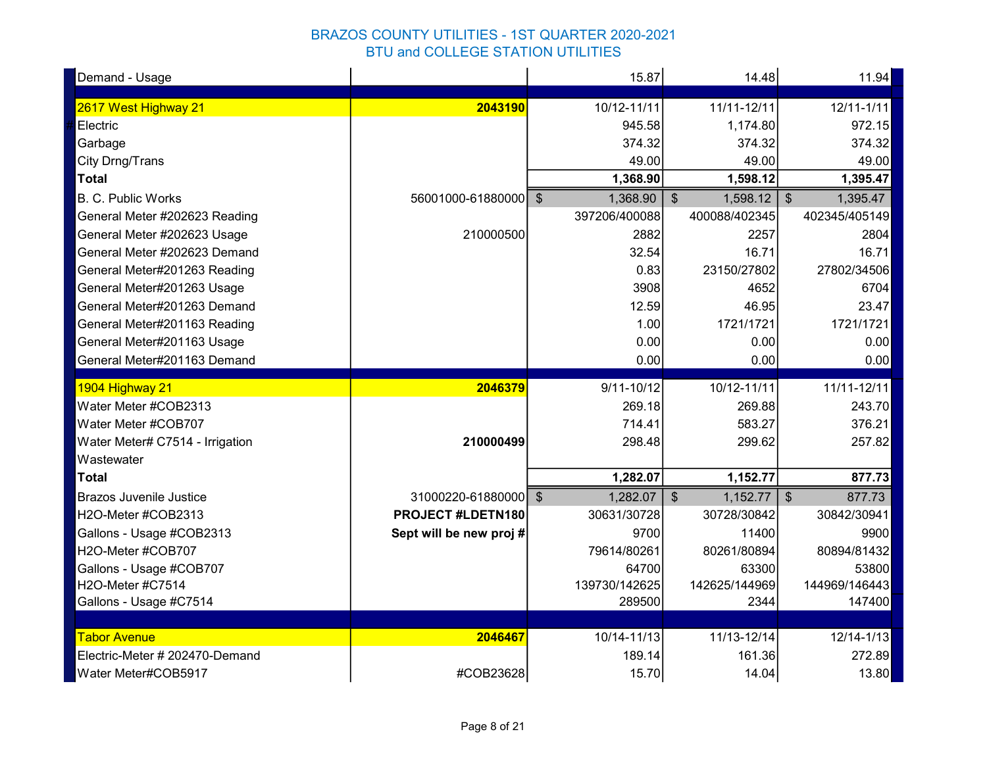| Demand - Usage                                        |                         | 15.87           | 14.48                               | 11.94                     |
|-------------------------------------------------------|-------------------------|-----------------|-------------------------------------|---------------------------|
| 2617 West Highway 21                                  | 2043190                 | 10/12-11/11     | 11/11-12/11                         | $12/11 - 1/11$            |
| Electric                                              |                         | 945.58          | 1,174.80                            | 972.15                    |
| Garbage                                               |                         | 374.32          | 374.32                              | 374.32                    |
| City Drng/Trans                                       |                         | 49.00           | 49.00                               | 49.00                     |
| <b>Total</b>                                          |                         | 1,368.90        | 1,598.12                            | 1,395.47                  |
| B. C. Public Works                                    | 56001000-61880000 \$    | 1,368.90        | 1,598.12<br>$\mathfrak{S}$          | 1,395.47<br>$\frac{1}{2}$ |
| General Meter #202623 Reading                         |                         | 397206/400088   | 400088/402345                       | 402345/405149             |
| General Meter #202623 Usage                           | 210000500               | 2882            | 2257                                | 2804                      |
| General Meter #202623 Demand                          |                         | 32.54           | 16.71                               | 16.71                     |
| General Meter#201263 Reading                          |                         | 0.83            | 23150/27802                         | 27802/34506               |
| General Meter#201263 Usage                            |                         | 3908            | 4652                                | 6704                      |
| General Meter#201263 Demand                           |                         | 12.59           | 46.95                               | 23.47                     |
| General Meter#201163 Reading                          |                         | 1.00            | 1721/1721                           | 1721/1721                 |
| General Meter#201163 Usage                            |                         | 0.00            | 0.00                                | 0.00                      |
| General Meter#201163 Demand                           |                         | 0.00            | 0.00                                | 0.00                      |
|                                                       |                         |                 |                                     |                           |
| 1904 Highway 21                                       | 2046379                 | $9/11 - 10/12$  | 10/12-11/11                         | 11/11-12/11               |
| Water Meter #COB2313                                  |                         | 269.18          | 269.88                              | 243.70                    |
| Water Meter #COB707                                   |                         | 714.41          | 583.27                              | 376.21                    |
| Water Meter# C7514 - Irrigation                       | 210000499               | 298.48          | 299.62                              | 257.82                    |
| Wastewater                                            |                         |                 |                                     |                           |
| <b>Total</b>                                          |                         | 1,282.07        | 1,152.77                            | 877.73                    |
| <b>Brazos Juvenile Justice</b>                        | 31000220-61880000 \$    | 1,282.07        | $\sqrt[6]{\frac{1}{2}}$<br>1,152.77 | $\frac{1}{2}$<br>877.73   |
| H2O-Meter #COB2313                                    | PROJECT #LDETN180       | 30631/30728     | 30728/30842                         | 30842/30941               |
| Gallons - Usage #COB2313                              | Sept will be new proj # | 9700            | 11400                               | 9900                      |
| H2O-Meter #COB707                                     |                         | 79614/80261     | 80261/80894                         | 80894/81432               |
| Gallons - Usage #COB707                               |                         | 64700           | 63300                               | 53800                     |
| H2O-Meter #C7514                                      |                         | 139730/142625   | 142625/144969                       | 144969/146443             |
| Gallons - Usage #C7514                                |                         | 289500          | 2344                                | 147400                    |
|                                                       |                         |                 |                                     |                           |
| <b>Tabor Avenue</b>                                   | 2046467                 | 10/14-11/13     | 11/13-12/14                         | $12/14 - 1/13$            |
| Electric-Meter # 202470-Demand<br>Water Meter#COB5917 | #COB23628               | 189.14<br>15.70 | 161.36<br>14.04                     | 272.89<br>13.80           |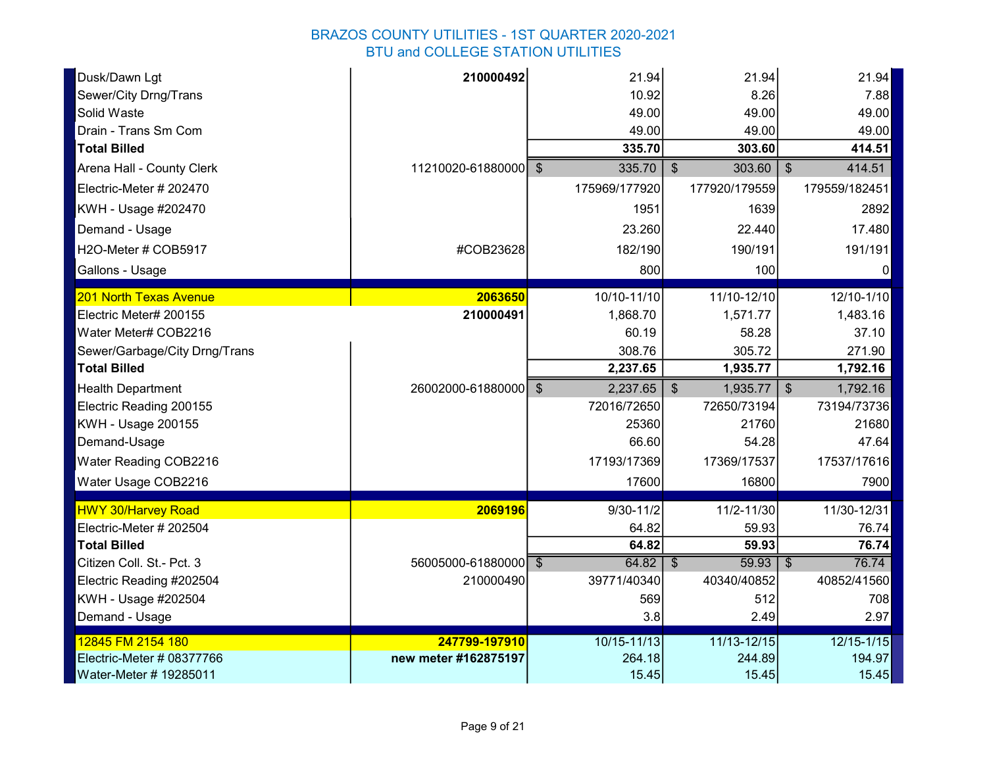| Dusk/Dawn Lgt                 | 210000492            | 21.94         | 21.94                             | 21.94                             |
|-------------------------------|----------------------|---------------|-----------------------------------|-----------------------------------|
| Sewer/City Drng/Trans         |                      | 10.92         | 8.26                              | 7.88                              |
| Solid Waste                   |                      | 49.00         | 49.00                             | 49.00                             |
| Drain - Trans Sm Com          |                      | 49.00         | 49.00                             | 49.00                             |
| <b>Total Billed</b>           |                      | 335.70        | 303.60                            | 414.51                            |
| Arena Hall - County Clerk     | 11210020-61880000 \$ | 335.70        | $\mathfrak{S}$<br>303.60          | 414.51<br>$\mathfrak{S}$          |
| Electric-Meter # 202470       |                      | 175969/177920 | 177920/179559                     | 179559/182451                     |
| KWH - Usage #202470           |                      | 1951          | 1639                              | 2892                              |
| Demand - Usage                |                      | 23.260        | 22.440                            | 17.480                            |
| H2O-Meter # COB5917           | #COB23628            | 182/190       | 190/191                           | 191/191                           |
| Gallons - Usage               |                      | 800           | 100                               | $\Omega$                          |
| 201 North Texas Avenue        | 2063650              | 10/10-11/10   | 11/10-12/10                       | 12/10-1/10                        |
| Electric Meter# 200155        | 210000491            | 1,868.70      | 1,571.77                          | 1,483.16                          |
| Water Meter# COB2216          |                      | 60.19         | 58.28                             | 37.10                             |
| Sewer/Garbage/City Drng/Trans |                      | 308.76        | 305.72                            | 271.90                            |
| <b>Total Billed</b>           |                      | 2,237.65      | 1,935.77                          | 1,792.16                          |
| <b>Health Department</b>      | 26002000-61880000 \$ | 2,237.65      | $\mathcal{S}$<br>1,935.77         | $\mathfrak{S}$<br>1,792.16        |
| Electric Reading 200155       |                      | 72016/72650   | 72650/73194                       | 73194/73736                       |
| <b>KWH - Usage 200155</b>     |                      | 25360         | 21760                             | 21680                             |
| Demand-Usage                  |                      | 66.60         | 54.28                             | 47.64                             |
| Water Reading COB2216         |                      | 17193/17369   | 17369/17537                       | 17537/17616                       |
| Water Usage COB2216           |                      | 17600         | 16800                             | 7900                              |
| <b>HWY 30/Harvey Road</b>     | 2069196              | $9/30 - 11/2$ | 11/2-11/30                        | 11/30-12/31                       |
| Electric-Meter # 202504       |                      | 64.82         | 59.93                             | 76.74                             |
| <b>Total Billed</b>           |                      | 64.82         | 59.93                             | 76.74                             |
| Citizen Coll. St.- Pct. 3     | 56005000-61880000 \$ | 64.82         | 59.93<br>$\overline{\mathcal{S}}$ | $\overline{\mathcal{S}}$<br>76.74 |
| Electric Reading #202504      | 210000490            | 39771/40340   | 40340/40852                       | 40852/41560                       |
| KWH - Usage #202504           |                      | 569           | 512                               | 708                               |
| Demand - Usage                |                      | 3.8           | 2.49                              | 2.97                              |
| 12845 FM 2154 180             | 247799-197910        | 10/15-11/13   | 11/13-12/15                       | $12/15 - 1/15$                    |
| Electric-Meter # 08377766     | new meter #162875197 | 264.18        | 244.89                            | 194.97                            |
| Water-Meter # 19285011        |                      | 15.45         | 15.45                             | 15.45                             |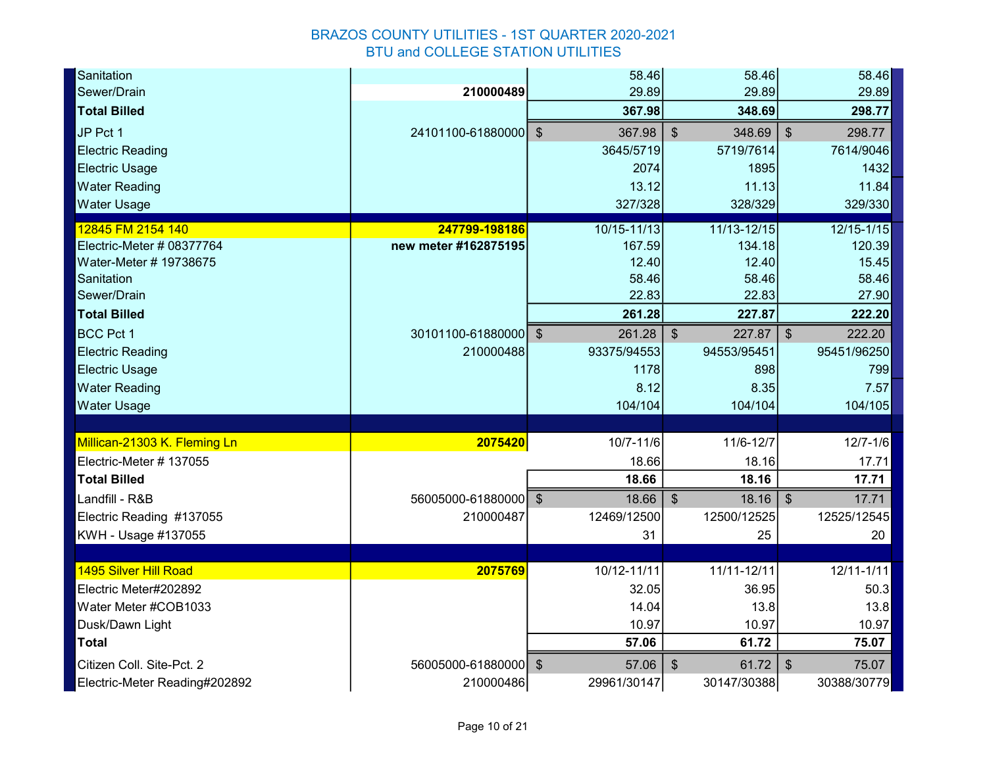| Sanitation                    |                      | 58.46         | 58.46                               | 58.46                               |
|-------------------------------|----------------------|---------------|-------------------------------------|-------------------------------------|
| Sewer/Drain                   | 210000489            | 29.89         | 29.89                               | 29.89                               |
| <b>Total Billed</b>           |                      | 367.98        | 348.69                              | 298.77                              |
| JP Pct 1                      | 24101100-61880000 \$ | 367.98        | $\boldsymbol{\mathsf{S}}$<br>348.69 | $\mathfrak{S}$<br>298.77            |
| <b>Electric Reading</b>       |                      | 3645/5719     | 5719/7614                           | 7614/9046                           |
| <b>Electric Usage</b>         |                      | 2074          | 1895                                | 1432                                |
| <b>Water Reading</b>          |                      | 13.12         | 11.13                               | 11.84                               |
| <b>Water Usage</b>            |                      | 327/328       | 328/329                             | 329/330                             |
| 12845 FM 2154 140             | 247799-198186        | 10/15-11/13   | 11/13-12/15                         | 12/15-1/15                          |
| Electric-Meter # 08377764     | new meter #162875195 | 167.59        | 134.18                              | 120.39                              |
| Water-Meter # 19738675        |                      | 12.40         | 12.40                               | 15.45                               |
| Sanitation                    |                      | 58.46         | 58.46                               | 58.46                               |
| Sewer/Drain                   |                      | 22.83         | 22.83                               | 27.90                               |
| <b>Total Billed</b>           |                      | 261.28        | 227.87                              | 222.20                              |
| <b>BCC Pct 1</b>              | 30101100-61880000 \$ | 261.28        | $\sqrt[6]{\frac{1}{2}}$<br>227.87   | $\boldsymbol{\mathsf{S}}$<br>222.20 |
| <b>Electric Reading</b>       | 210000488            | 93375/94553   | 94553/95451                         | 95451/96250                         |
| <b>Electric Usage</b>         |                      | 1178          | 898                                 | 799                                 |
| <b>Water Reading</b>          |                      | 8.12          | 8.35                                | 7.57                                |
| <b>Water Usage</b>            |                      | 104/104       | 104/104                             | 104/105                             |
|                               |                      |               |                                     |                                     |
| Millican-21303 K. Fleming Ln  | 2075420              | $10/7 - 11/6$ | 11/6-12/7                           | $12/7 - 1/6$                        |
| Electric-Meter # 137055       |                      | 18.66         | 18.16                               | 17.71                               |
| <b>Total Billed</b>           |                      | 18.66         | 18.16                               | 17.71                               |
| Landfill - R&B                | 56005000-61880000 \$ | 18.66         | $\mathfrak{S}$<br>18.16             | 17.71<br>$\$\$                      |
| Electric Reading #137055      | 210000487            | 12469/12500   | 12500/12525                         | 12525/12545                         |
| KWH - Usage #137055           |                      | 31            | 25                                  | 20                                  |
|                               |                      |               |                                     |                                     |
| 1495 Silver Hill Road         | 2075769              | 10/12-11/11   | 11/11-12/11                         | $12/11 - 1/11$                      |
| Electric Meter#202892         |                      | 32.05         | 36.95                               | 50.3                                |
| Water Meter #COB1033          |                      | 14.04         | 13.8                                | 13.8                                |
| Dusk/Dawn Light               |                      | 10.97         | 10.97                               | 10.97                               |
| <b>Total</b>                  |                      | 57.06         | 61.72                               | 75.07                               |
| Citizen Coll. Site-Pct. 2     | 56005000-61880000 \$ | 57.06         | $\boldsymbol{\mathsf{S}}$<br>61.72  | $\$\$<br>75.07                      |
| Electric-Meter Reading#202892 | 210000486            | 29961/30147   | 30147/30388                         | 30388/30779                         |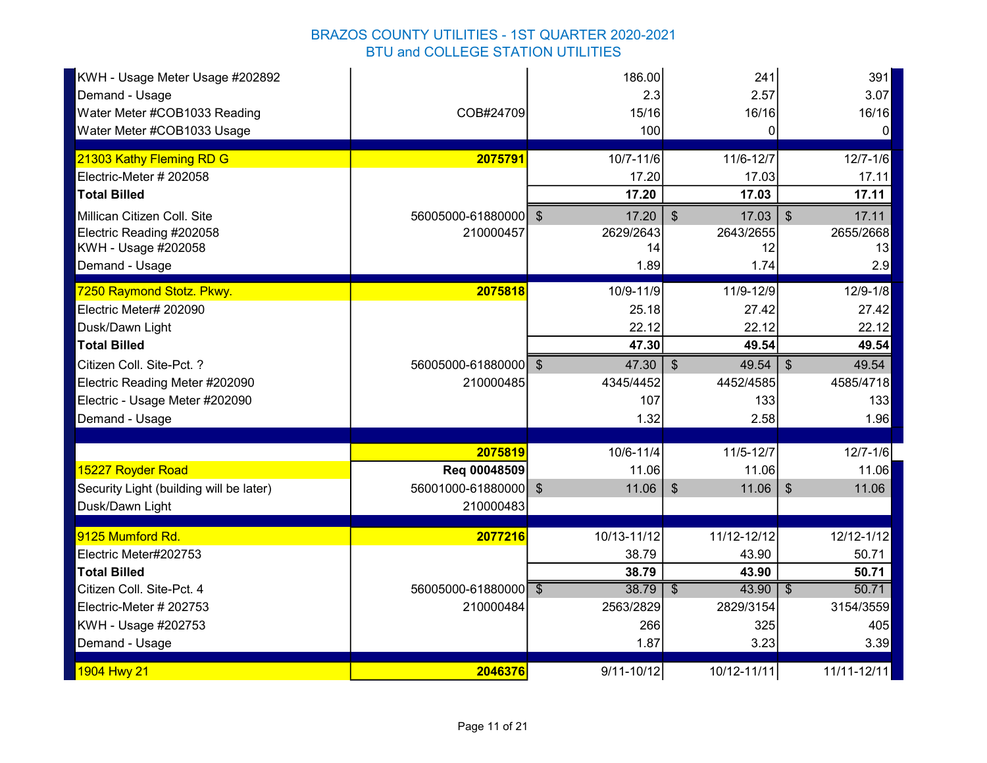| KWH - Usage Meter Usage #202892<br>Demand - Usage<br>Water Meter #COB1033 Reading<br>Water Meter #COB1033 Usage | COB#24709                         | 186.00<br>2.3<br>15/16<br>100 | 241<br>2.57<br>16/16<br>$\Omega$   | 391<br>3.07<br>16/16<br>$\overline{0}$ |
|-----------------------------------------------------------------------------------------------------------------|-----------------------------------|-------------------------------|------------------------------------|----------------------------------------|
| 21303 Kathy Fleming RD G                                                                                        | 2075791                           | 10/7-11/6                     | 11/6-12/7                          | $12/7 - 1/6$                           |
| Electric-Meter # 202058                                                                                         |                                   | 17.20                         | 17.03                              | 17.11                                  |
| <b>Total Billed</b>                                                                                             |                                   | 17.20                         | 17.03                              | 17.11                                  |
| Millican Citizen Coll. Site                                                                                     | 56005000-61880000 \$              | 17.20                         | $\boldsymbol{\mathsf{S}}$<br>17.03 | $\sqrt[6]{\frac{1}{2}}$<br>17.11       |
| Electric Reading #202058                                                                                        | 210000457                         | 2629/2643                     | 2643/2655                          | 2655/2668                              |
| KWH - Usage #202058                                                                                             |                                   | 14                            | 12                                 | 13                                     |
| Demand - Usage                                                                                                  |                                   | 1.89                          | 1.74                               | 2.9                                    |
| 7250 Raymond Stotz. Pkwy.                                                                                       | 2075818                           | 10/9-11/9                     | 11/9-12/9                          | $12/9 - 1/8$                           |
| Electric Meter# 202090                                                                                          |                                   | 25.18                         | 27.42                              | 27.42                                  |
| Dusk/Dawn Light                                                                                                 |                                   | 22.12                         | 22.12                              | 22.12                                  |
| <b>Total Billed</b>                                                                                             |                                   | 47.30                         | 49.54                              | 49.54                                  |
| Citizen Coll. Site-Pct. ?                                                                                       | 56005000-61880000 \$              | 47.30                         | $\boldsymbol{\mathsf{S}}$<br>49.54 | $\sqrt[6]{\frac{1}{2}}$<br>49.54       |
| Electric Reading Meter #202090                                                                                  | 210000485                         | 4345/4452                     | 4452/4585                          | 4585/4718                              |
| Electric - Usage Meter #202090                                                                                  |                                   | 107                           | 133                                | 133                                    |
| Demand - Usage                                                                                                  |                                   | 1.32                          | 2.58                               | 1.96                                   |
|                                                                                                                 |                                   |                               |                                    |                                        |
|                                                                                                                 | 2075819                           | 10/6-11/4                     | 11/5-12/7                          | $12/7 - 1/6$                           |
| 15227 Royder Road                                                                                               | Req 00048509                      | 11.06                         | 11.06                              | 11.06                                  |
| Security Light (building will be later)<br>Dusk/Dawn Light                                                      | 56001000-61880000 \$<br>210000483 | 11.06                         | $\boldsymbol{\mathsf{S}}$<br>11.06 | $\frac{1}{2}$<br>11.06                 |
|                                                                                                                 |                                   |                               |                                    |                                        |
| 9125 Mumford Rd.                                                                                                | 2077216                           | 10/13-11/12                   | 11/12-12/12                        | 12/12-1/12                             |
| Electric Meter#202753                                                                                           |                                   | 38.79                         | 43.90                              | 50.71                                  |
| <b>Total Billed</b>                                                                                             |                                   | 38.79                         | 43.90                              | 50.71                                  |
| Citizen Coll. Site-Pct. 4                                                                                       | 56005000-61880000 \$              | 38.79                         | 43.90<br>$\overline{\mathcal{S}}$  | 50.71<br>$\overline{\mathcal{S}}$      |
| Electric-Meter # 202753                                                                                         | 210000484                         | 2563/2829                     | 2829/3154                          | 3154/3559                              |
| KWH - Usage #202753                                                                                             |                                   | 266                           | 325                                | 405                                    |
| Demand - Usage                                                                                                  |                                   | 1.87                          | 3.23                               | 3.39                                   |
| 1904 Hwy 21                                                                                                     | 2046376                           | $9/11 - 10/12$                | 10/12-11/11                        | 11/11-12/11                            |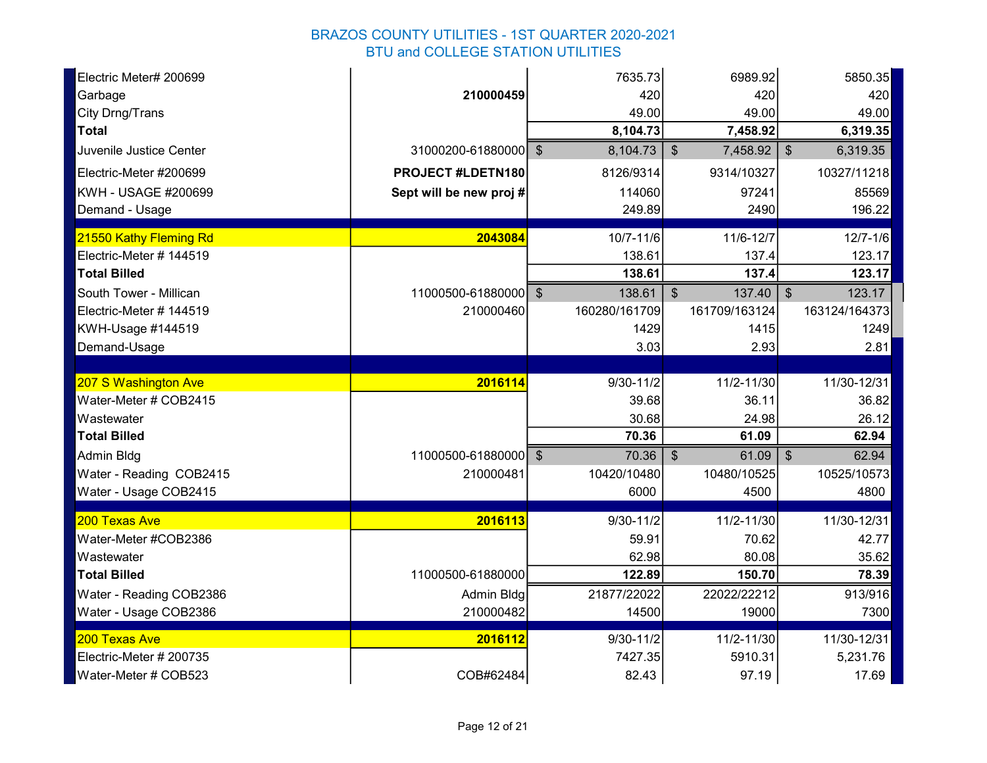| Electric Meter# 200699  |                         | 7635.73       | 6989.92                    | 5850.35                   |
|-------------------------|-------------------------|---------------|----------------------------|---------------------------|
| Garbage                 | 210000459               | 420           | 420                        | 420                       |
| City Drng/Trans         |                         | 49.00         | 49.00                      | 49.00                     |
| <b>Total</b>            |                         | 8,104.73      | 7,458.92                   | 6,319.35                  |
| Juvenile Justice Center | 31000200-61880000 \$    | 8,104.73      | $\mathfrak{F}$<br>7,458.92 | $\frac{1}{2}$<br>6,319.35 |
| Electric-Meter #200699  | PROJECT #LDETN180       | 8126/9314     | 9314/10327                 | 10327/11218               |
| KWH - USAGE #200699     | Sept will be new proj # | 114060        | 97241                      | 85569                     |
| Demand - Usage          |                         | 249.89        | 2490                       | 196.22                    |
| 21550 Kathy Fleming Rd  | 2043084                 | 10/7-11/6     | 11/6-12/7                  | $12/7 - 1/6$              |
| Electric-Meter # 144519 |                         | 138.61        | 137.4                      | 123.17                    |
| <b>Total Billed</b>     |                         | 138.61        | 137.4                      | 123.17                    |
| South Tower - Millican  | 11000500-61880000 \$    | 138.61        | $\mathfrak{S}$<br>137.40   | 123.17<br>$\mathfrak{S}$  |
| Electric-Meter # 144519 | 210000460               | 160280/161709 | 161709/163124              | 163124/164373             |
| KWH-Usage #144519       |                         | 1429          | 1415                       | 1249                      |
| Demand-Usage            |                         | 3.03          | 2.93                       | 2.81                      |
|                         |                         |               |                            |                           |
| 207 S Washington Ave    | 2016114                 | $9/30 - 11/2$ | 11/2-11/30                 | 11/30-12/31               |
| Water-Meter # COB2415   |                         | 39.68         | 36.11                      | 36.82                     |
| Wastewater              |                         | 30.68         | 24.98                      | 26.12                     |
| <b>Total Billed</b>     |                         | 70.36         | 61.09                      | 62.94                     |
| Admin Bldg              | 11000500-61880000 \$    | 70.36         | $\mathcal{S}$<br>61.09     | $\frac{1}{2}$<br>62.94    |
| Water - Reading COB2415 | 210000481               | 10420/10480   | 10480/10525                | 10525/10573               |
| Water - Usage COB2415   |                         | 6000          | 4500                       | 4800                      |
| 200 Texas Ave           | 2016113                 | $9/30 - 11/2$ | 11/2-11/30                 | 11/30-12/31               |
| Water-Meter #COB2386    |                         | 59.91         | 70.62                      | 42.77                     |
| Wastewater              |                         | 62.98         | 80.08                      | 35.62                     |
| <b>Total Billed</b>     | 11000500-61880000       | 122.89        | 150.70                     | 78.39                     |
| Water - Reading COB2386 | Admin Bldg              | 21877/22022   | 22022/22212                | 913/916                   |
| Water - Usage COB2386   | 210000482               | 14500         | 19000                      | 7300                      |
| 200 Texas Ave           | 2016112                 | $9/30 - 11/2$ | 11/2-11/30                 | 11/30-12/31               |
| Electric-Meter # 200735 |                         | 7427.35       | 5910.31                    | 5,231.76                  |
| Water-Meter # COB523    | COB#62484               | 82.43         | 97.19                      | 17.69                     |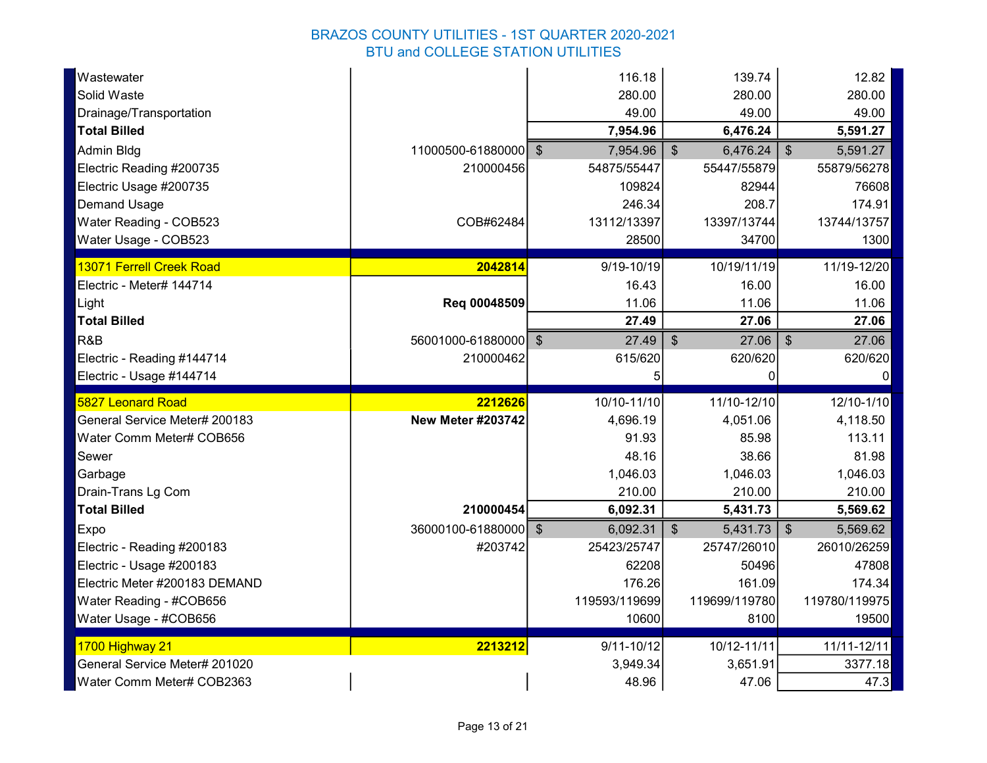| Wastewater<br>Solid Waste     |                          | 116.18<br>280.00 | 139.74<br>280.00                      | 12.82<br>280.00                     |
|-------------------------------|--------------------------|------------------|---------------------------------------|-------------------------------------|
| Drainage/Transportation       |                          | 49.00            | 49.00                                 | 49.00                               |
| <b>Total Billed</b>           |                          | 7,954.96         | 6,476.24                              | 5,591.27                            |
| Admin Bldg                    | 11000500-61880000 \$     | 7,954.96         | $\boldsymbol{\mathsf{S}}$<br>6,476.24 | $\sqrt[6]{\frac{1}{2}}$<br>5,591.27 |
| Electric Reading #200735      | 210000456                | 54875/55447      | 55447/55879                           | 55879/56278                         |
| Electric Usage #200735        |                          | 109824           | 82944                                 | 76608                               |
| <b>Demand Usage</b>           |                          | 246.34           | 208.7                                 | 174.91                              |
| Water Reading - COB523        | COB#62484                | 13112/13397      | 13397/13744                           | 13744/13757                         |
| Water Usage - COB523          |                          | 28500            | 34700                                 | 1300                                |
| 13071 Ferrell Creek Road      | 2042814                  | 9/19-10/19       | 10/19/11/19                           | 11/19-12/20                         |
| Electric - Meter# 144714      |                          | 16.43            | 16.00                                 | 16.00                               |
| Light                         | Req 00048509             | 11.06            | 11.06                                 | 11.06                               |
| <b>Total Billed</b>           |                          | 27.49            | 27.06                                 | 27.06                               |
| R&B                           | 56001000-61880000 \$     | 27.49            | $\mathcal{S}$<br>27.06                | $\mathfrak{S}$<br>27.06             |
| Electric - Reading #144714    | 210000462                | 615/620          | 620/620                               | 620/620                             |
|                               |                          | 5                | $\Omega$                              | $\Omega$                            |
| Electric - Usage #144714      |                          |                  |                                       |                                     |
| 5827 Leonard Road             | 2212626                  | 10/10-11/10      | 11/10-12/10                           | 12/10-1/10                          |
| General Service Meter# 200183 | <b>New Meter #203742</b> | 4,696.19         | 4,051.06                              | 4,118.50                            |
| Water Comm Meter# COB656      |                          | 91.93            | 85.98                                 | 113.11                              |
| Sewer                         |                          | 48.16            | 38.66                                 | 81.98                               |
| Garbage                       |                          | 1,046.03         | 1,046.03                              | 1,046.03                            |
| Drain-Trans Lg Com            |                          | 210.00           | 210.00                                | 210.00                              |
| <b>Total Billed</b>           | 210000454                | 6,092.31         | 5,431.73                              | 5,569.62                            |
| Expo                          | 36000100-61880000 \$     | 6,092.31         | $\mathfrak{F}$<br>5,431.73            | $\frac{1}{2}$<br>5,569.62           |
| Electric - Reading #200183    | #203742                  | 25423/25747      | 25747/26010                           | 26010/26259                         |
| Electric - Usage #200183      |                          | 62208            | 50496                                 | 47808                               |
| Electric Meter #200183 DEMAND |                          | 176.26           | 161.09                                | 174.34                              |
| Water Reading - #COB656       |                          | 119593/119699    | 119699/119780                         | 119780/119975                       |
| Water Usage - #COB656         |                          | 10600            | 8100                                  | 19500                               |
| 1700 Highway 21               | 2213212                  | $9/11 - 10/12$   | 10/12-11/11                           | 11/11-12/11                         |
| General Service Meter# 201020 |                          | 3,949.34         | 3,651.91                              | 3377.18                             |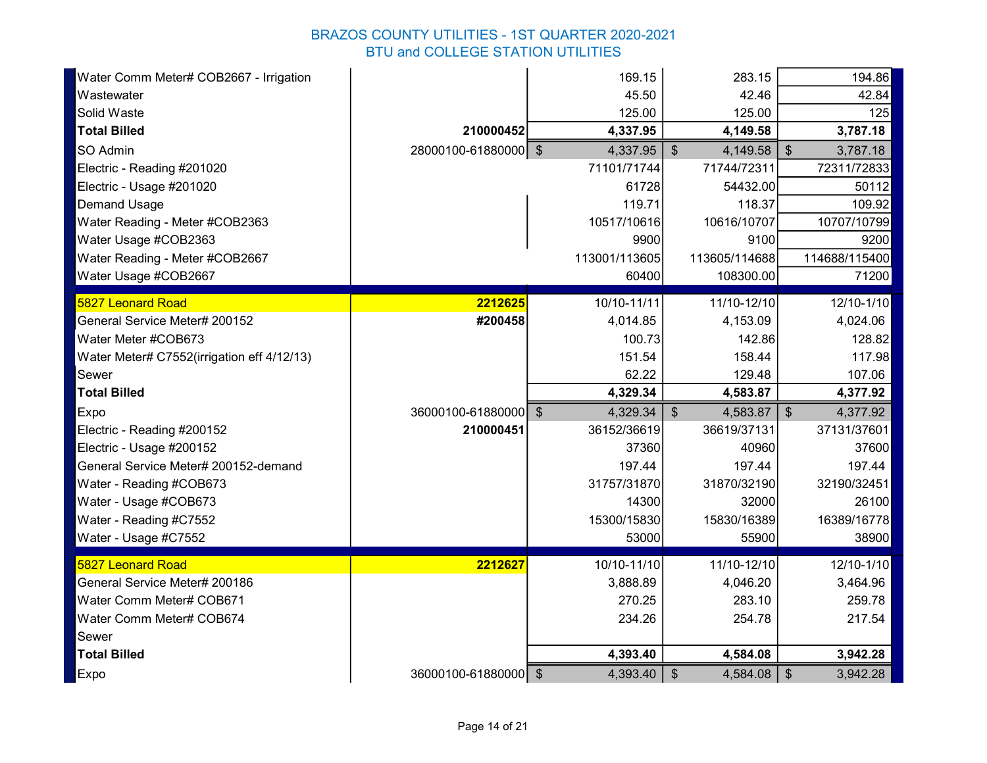| Water Comm Meter# COB2667 - Irrigation     |                      | 169.15        | 283.15                    | 194.86                                |
|--------------------------------------------|----------------------|---------------|---------------------------|---------------------------------------|
| Wastewater                                 |                      | 45.50         | 42.46                     | 42.84                                 |
| Solid Waste                                |                      | 125.00        | 125.00                    | 125                                   |
| <b>Total Billed</b>                        | 210000452            | 4,337.95      | 4,149.58                  | 3,787.18                              |
| SO Admin                                   | 28000100-61880000 \$ | 4,337.95      | $\mathcal{S}$<br>4,149.58 | \$<br>3,787.18                        |
| Electric - Reading #201020                 |                      | 71101/71744   | 71744/72311               | 72311/72833                           |
| Electric - Usage #201020                   |                      | 61728         | 54432.00                  | 50112                                 |
| <b>Demand Usage</b>                        |                      | 119.71        | 118.37                    | 109.92                                |
| Water Reading - Meter #COB2363             |                      | 10517/10616   | 10616/10707               | 10707/10799                           |
| Water Usage #COB2363                       |                      | 9900          | 9100                      | 9200                                  |
| Water Reading - Meter #COB2667             |                      | 113001/113605 | 113605/114688             | 114688/115400                         |
| Water Usage #COB2667                       |                      | 60400         | 108300.00                 | 71200                                 |
| <b>5827 Leonard Road</b>                   | 2212625              | 10/10-11/11   | 11/10-12/10               | 12/10-1/10                            |
| General Service Meter# 200152              | #200458              | 4,014.85      | 4,153.09                  | 4,024.06                              |
| Water Meter #COB673                        |                      | 100.73        | 142.86                    | 128.82                                |
| Water Meter# C7552(irrigation eff 4/12/13) |                      | 151.54        | 158.44                    | 117.98                                |
| Sewer                                      |                      | 62.22         | 129.48                    | 107.06                                |
| <b>Total Billed</b>                        |                      | 4,329.34      | 4,583.87                  | 4,377.92                              |
| Expo                                       | 36000100-61880000 \$ | 4,329.34      | $\mathcal{S}$<br>4,583.87 | 4,377.92<br>$\boldsymbol{\mathsf{S}}$ |
| Electric - Reading #200152                 | 210000451            | 36152/36619   | 36619/37131               | 37131/37601                           |
| Electric - Usage #200152                   |                      | 37360         | 40960                     | 37600                                 |
| General Service Meter# 200152-demand       |                      | 197.44        | 197.44                    | 197.44                                |
| Water - Reading #COB673                    |                      | 31757/31870   | 31870/32190               | 32190/32451                           |
| Water - Usage #COB673                      |                      | 14300         | 32000                     | 26100                                 |
| Water - Reading #C7552                     |                      | 15300/15830   | 15830/16389               | 16389/16778                           |
| Water - Usage #C7552                       |                      | 53000         | 55900                     | 38900                                 |
| <b>5827 Leonard Road</b>                   | 2212627              | 10/10-11/10   | 11/10-12/10               | 12/10-1/10                            |
| General Service Meter# 200186              |                      | 3,888.89      | 4,046.20                  | 3,464.96                              |
| Water Comm Meter# COB671                   |                      | 270.25        | 283.10                    | 259.78                                |
| Water Comm Meter# COB674                   |                      | 234.26        | 254.78                    | 217.54                                |
| Sewer                                      |                      |               |                           |                                       |
| <b>Total Billed</b>                        |                      | 4,393.40      | 4,584.08                  | 3,942.28                              |
| Expo                                       | 36000100-61880000 \$ | 4,393.40      | 4,584.08<br>$\frac{1}{2}$ | $\frac{1}{2}$<br>3,942.28             |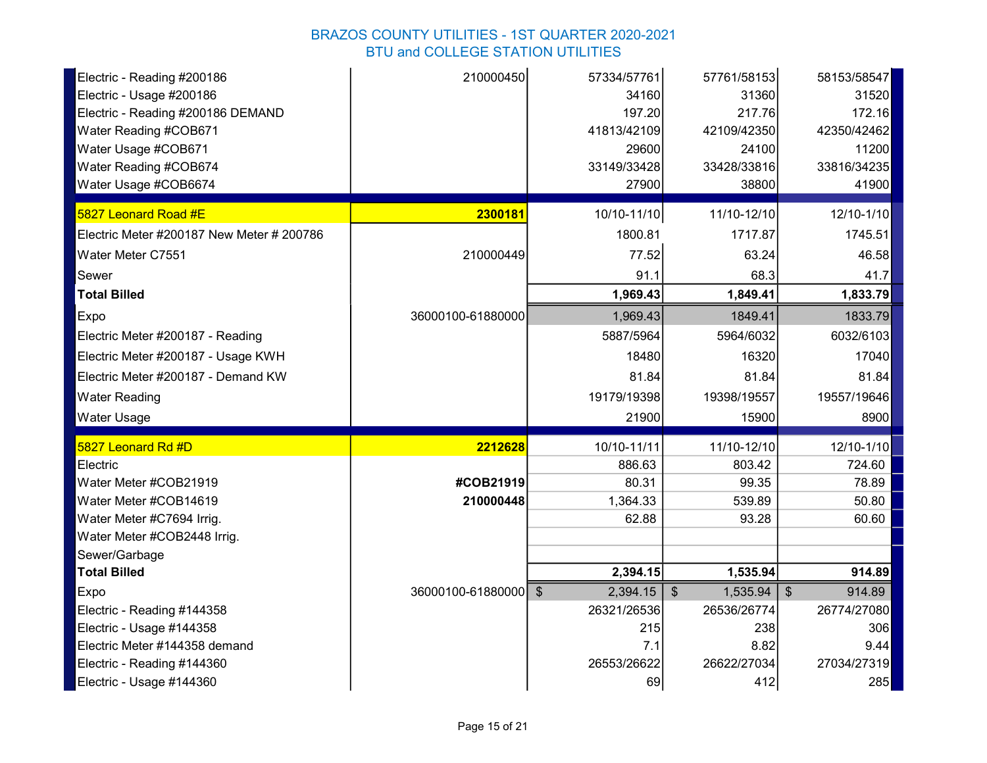| Electric - Reading #200186                             | 210000450            | 57334/57761       | 57761/58153               | 58153/58547                         |
|--------------------------------------------------------|----------------------|-------------------|---------------------------|-------------------------------------|
| Electric - Usage #200186                               |                      | 34160             | 31360                     | 31520                               |
| Electric - Reading #200186 DEMAND                      |                      | 197.20            | 217.76                    | 172.16                              |
| Water Reading #COB671                                  |                      | 41813/42109       | 42109/42350               | 42350/42462                         |
| Water Usage #COB671                                    |                      | 29600             | 24100                     | 11200                               |
| Water Reading #COB674                                  |                      | 33149/33428       | 33428/33816               | 33816/34235                         |
| Water Usage #COB6674                                   |                      | 27900             | 38800                     | 41900                               |
| 5827 Leonard Road #E                                   | 2300181              | 10/10-11/10       | 11/10-12/10               | 12/10-1/10                          |
| Electric Meter #200187 New Meter # 200786              |                      | 1800.81           | 1717.87                   | 1745.51                             |
| Water Meter C7551                                      | 210000449            | 77.52             | 63.24                     | 46.58                               |
| Sewer                                                  |                      | 91.1              | 68.3                      | 41.7                                |
| <b>Total Billed</b>                                    |                      | 1,969.43          | 1,849.41                  | 1,833.79                            |
| Expo                                                   | 36000100-61880000    | 1,969.43          | 1849.41                   | 1833.79                             |
| Electric Meter #200187 - Reading                       |                      | 5887/5964         | 5964/6032                 | 6032/6103                           |
| Electric Meter #200187 - Usage KWH                     |                      | 18480             | 16320                     | 17040                               |
| Electric Meter #200187 - Demand KW                     |                      | 81.84             | 81.84                     | 81.84                               |
| <b>Water Reading</b>                                   |                      | 19179/19398       | 19398/19557               | 19557/19646                         |
| <b>Water Usage</b>                                     |                      | 21900             | 15900                     | 8900                                |
| 5827 Leonard Rd #D                                     | 2212628              | 10/10-11/11       | 11/10-12/10               | 12/10-1/10                          |
| Electric                                               |                      | 886.63            | 803.42                    | 724.60                              |
| Water Meter #COB21919                                  | #COB21919            | 80.31             | 99.35                     | 78.89                               |
| Water Meter #COB14619                                  | 210000448            | 1,364.33          | 539.89                    | 50.80                               |
| Water Meter #C7694 Irrig.                              |                      | 62.88             | 93.28                     | 60.60                               |
| Water Meter #COB2448 Irrig.                            |                      |                   |                           |                                     |
| Sewer/Garbage                                          |                      |                   |                           |                                     |
| <b>Total Billed</b>                                    |                      | 2,394.15          | 1,535.94                  | 914.89                              |
| Expo                                                   | 36000100-61880000 \$ | 2,394.15          | $\sqrt[3]{2}$<br>1,535.94 | 914.89<br>$\boldsymbol{\mathsf{S}}$ |
| Electric - Reading #144358                             |                      | 26321/26536       | 26536/26774               | 26774/27080                         |
| Electric - Usage #144358                               |                      | 215               | 238                       | 306                                 |
|                                                        |                      |                   |                           |                                     |
| Electric Meter #144358 demand                          |                      | 7.1               | 8.82                      | 9.44                                |
| Electric - Reading #144360<br>Electric - Usage #144360 |                      | 26553/26622<br>69 | 26622/27034<br>412        | 27034/27319<br>285                  |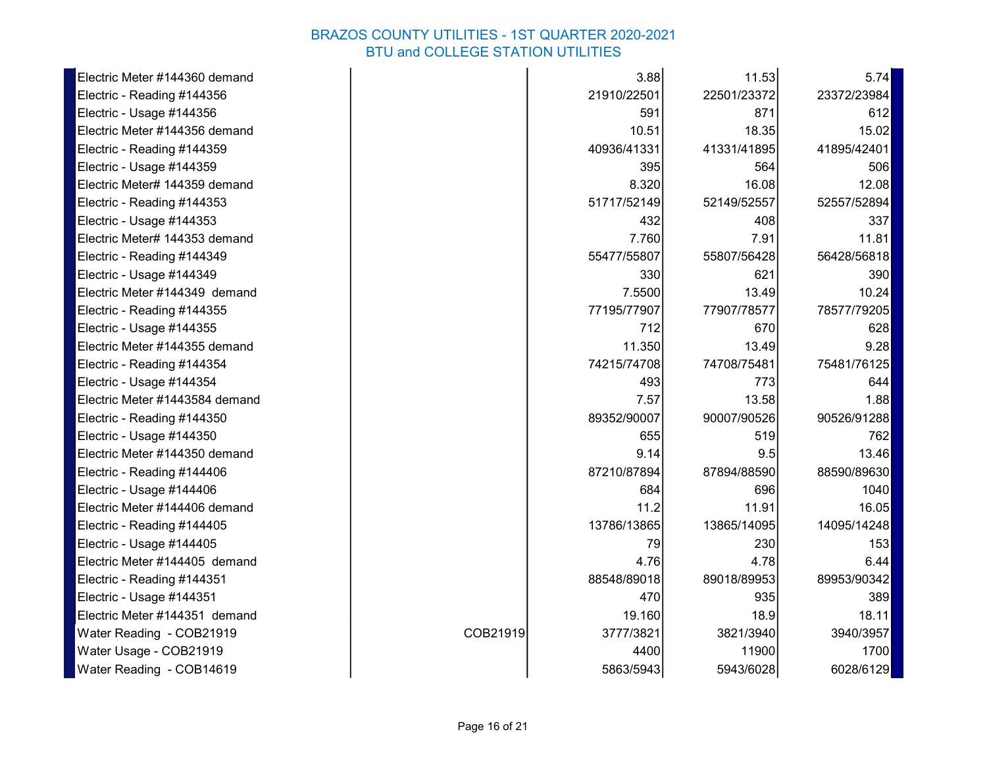| Electric Meter #144360 demand  |          | 3.88        | 11.53       | 5.74        |
|--------------------------------|----------|-------------|-------------|-------------|
| Electric - Reading #144356     |          | 21910/22501 | 22501/23372 | 23372/23984 |
| Electric - Usage #144356       |          | 591         | 871         | 612         |
| Electric Meter #144356 demand  |          | 10.51       | 18.35       | 15.02       |
| Electric - Reading #144359     |          | 40936/41331 | 41331/41895 | 41895/42401 |
| Electric - Usage #144359       |          | 395         | 564         | 506         |
| Electric Meter# 144359 demand  |          | 8.320       | 16.08       | 12.08       |
| Electric - Reading #144353     |          | 51717/52149 | 52149/52557 | 52557/52894 |
| Electric - Usage #144353       |          | 432         | 408         | 337         |
| Electric Meter# 144353 demand  |          | 7.760       | 7.91        | 11.81       |
| Electric - Reading #144349     |          | 55477/55807 | 55807/56428 | 56428/56818 |
| Electric - Usage #144349       |          | 330         | 621         | 390         |
| Electric Meter #144349 demand  |          | 7.5500      | 13.49       | 10.24       |
| Electric - Reading #144355     |          | 77195/77907 | 77907/78577 | 78577/79205 |
| Electric - Usage #144355       |          | 712         | 670         | 628         |
| Electric Meter #144355 demand  |          | 11.350      | 13.49       | 9.28        |
| Electric - Reading #144354     |          | 74215/74708 | 74708/75481 | 75481/76125 |
| Electric - Usage #144354       |          | 493         | 773         | 644         |
| Electric Meter #1443584 demand |          | 7.57        | 13.58       | 1.88        |
| Electric - Reading #144350     |          | 89352/90007 | 90007/90526 | 90526/91288 |
| Electric - Usage #144350       |          | 655         | 519         | 762         |
| Electric Meter #144350 demand  |          | 9.14        | 9.5         | 13.46       |
| Electric - Reading #144406     |          | 87210/87894 | 87894/88590 | 88590/89630 |
| Electric - Usage #144406       |          | 684         | 696         | 1040        |
| Electric Meter #144406 demand  |          | 11.2        | 11.91       | 16.05       |
| Electric - Reading #144405     |          | 13786/13865 | 13865/14095 | 14095/14248 |
| Electric - Usage #144405       |          | 79          | 230         | 153         |
| Electric Meter #144405 demand  |          | 4.76        | 4.78        | 6.44        |
| Electric - Reading #144351     |          | 88548/89018 | 89018/89953 | 89953/90342 |
| Electric - Usage #144351       |          | 470         | 935         | 389         |
| Electric Meter #144351 demand  |          | 19.160      | 18.9        | 18.11       |
| Water Reading - COB21919       | COB21919 | 3777/3821   | 3821/3940   | 3940/3957   |
| Water Usage - COB21919         |          | 4400        | 11900       | 1700        |
| Water Reading - COB14619       |          | 5863/5943   | 5943/6028   | 6028/6129   |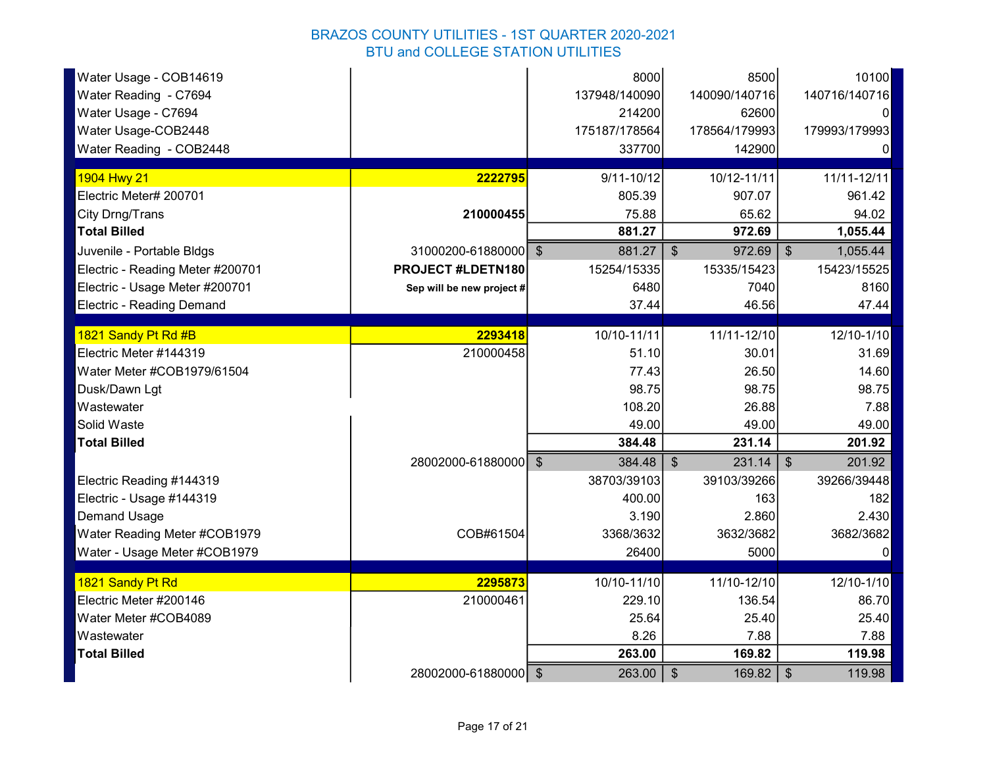| Water Usage - COB14619<br>Water Reading - C7694<br>Water Usage - C7694<br>Water Usage-COB2448<br>Water Reading - COB2448 |                           | 8000<br>137948/140090<br>214200<br>175187/178564<br>337700 | 8500<br>140090/140716<br>62600<br>178564/179993<br>142900 | 10100<br>140716/140716<br>0<br>179993/179993<br>0 |
|--------------------------------------------------------------------------------------------------------------------------|---------------------------|------------------------------------------------------------|-----------------------------------------------------------|---------------------------------------------------|
| 1904 Hwy 21                                                                                                              | 2222795                   | $9/11 - 10/12$                                             | 10/12-11/11                                               | 11/11-12/11                                       |
| Electric Meter# 200701                                                                                                   |                           | 805.39                                                     | 907.07                                                    | 961.42                                            |
| City Drng/Trans                                                                                                          | 210000455                 | 75.88                                                      | 65.62                                                     | 94.02                                             |
| <b>Total Billed</b>                                                                                                      |                           | 881.27                                                     | 972.69                                                    | 1,055.44                                          |
| Juvenile - Portable Bldgs                                                                                                | 31000200-61880000 \$      | 881.27                                                     | $\sqrt[6]{\frac{1}{2}}$<br>972.69                         | $\frac{1}{2}$<br>1,055.44                         |
| Electric - Reading Meter #200701                                                                                         | PROJECT #LDETN180         | 15254/15335                                                | 15335/15423                                               | 15423/15525                                       |
| Electric - Usage Meter #200701                                                                                           | Sep will be new project # | 6480                                                       | 7040                                                      | 8160                                              |
| <b>Electric - Reading Demand</b>                                                                                         |                           | 37.44                                                      | 46.56                                                     | 47.44                                             |
|                                                                                                                          |                           |                                                            |                                                           |                                                   |
| 1821 Sandy Pt Rd #B                                                                                                      | 2293418                   | 10/10-11/11                                                | 11/11-12/10                                               | 12/10-1/10                                        |
| Electric Meter #144319                                                                                                   | 210000458                 | 51.10                                                      | 30.01                                                     | 31.69                                             |
| Water Meter #COB1979/61504                                                                                               |                           | 77.43                                                      | 26.50                                                     | 14.60                                             |
| Dusk/Dawn Lgt<br>Wastewater                                                                                              |                           | 98.75<br>108.20                                            | 98.75<br>26.88                                            | 98.75<br>7.88                                     |
| Solid Waste                                                                                                              |                           | 49.00                                                      | 49.00                                                     | 49.00                                             |
| <b>Total Billed</b>                                                                                                      |                           | 384.48                                                     | 231.14                                                    | 201.92                                            |
|                                                                                                                          | 28002000-61880000 \$      | 384.48                                                     | $\sqrt[6]{\frac{1}{2}}$<br>231.14                         | $\mathfrak{S}$<br>201.92                          |
| Electric Reading #144319                                                                                                 |                           | 38703/39103                                                | 39103/39266                                               | 39266/39448                                       |
| Electric - Usage #144319                                                                                                 |                           | 400.00                                                     | 163                                                       | 182                                               |
| <b>Demand Usage</b>                                                                                                      |                           | 3.190                                                      | 2.860                                                     | 2.430                                             |
| Water Reading Meter #COB1979                                                                                             | COB#61504                 | 3368/3632                                                  | 3632/3682                                                 | 3682/3682                                         |
| Water - Usage Meter #COB1979                                                                                             |                           | 26400                                                      | 5000                                                      | $\Omega$                                          |
|                                                                                                                          |                           |                                                            |                                                           |                                                   |
| 1821 Sandy Pt Rd                                                                                                         | 2295873                   | 10/10-11/10                                                | 11/10-12/10                                               | 12/10-1/10                                        |
| Electric Meter #200146                                                                                                   | 210000461                 | 229.10                                                     | 136.54                                                    | 86.70                                             |
| Water Meter #COB4089                                                                                                     |                           | 25.64                                                      | 25.40                                                     | 25.40                                             |
| Wastewater                                                                                                               |                           | 8.26                                                       | 7.88                                                      | 7.88                                              |
| <b>Total Billed</b>                                                                                                      |                           | 263.00                                                     | 169.82                                                    | 119.98                                            |
|                                                                                                                          | 28002000-61880000 \$      | 263.00                                                     | $\sqrt[6]{\frac{1}{2}}$<br>169.82                         | $\sqrt[6]{\frac{1}{2}}$<br>119.98                 |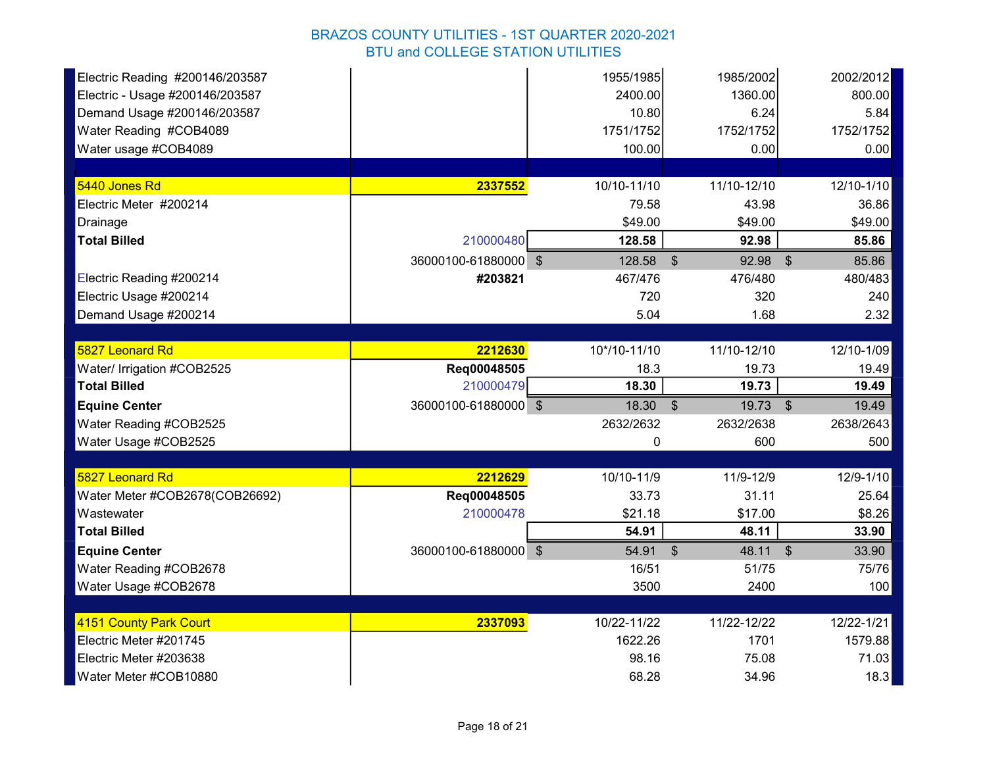| Electric Reading #200146/203587 |                      | 1955/1985    | 1985/2002                        | 2002/2012               |
|---------------------------------|----------------------|--------------|----------------------------------|-------------------------|
| Electric - Usage #200146/203587 |                      | 2400.00      | 1360.00                          | 800.00                  |
| Demand Usage #200146/203587     |                      | 10.80        | 6.24                             | 5.84                    |
| Water Reading #COB4089          |                      | 1751/1752    | 1752/1752                        | 1752/1752               |
| Water usage #COB4089            |                      | 100.00       | 0.00                             | 0.00                    |
|                                 |                      |              |                                  |                         |
| 5440 Jones Rd                   | 2337552              | 10/10-11/10  | 11/10-12/10                      | 12/10-1/10              |
| Electric Meter #200214          |                      | 79.58        | 43.98                            | 36.86                   |
| Drainage                        |                      | \$49.00      | \$49.00                          | \$49.00                 |
| <b>Total Billed</b>             | 210000480            | 128.58       | 92.98                            | 85.86                   |
|                                 | 36000100-61880000 \$ | 128.58       | \$<br>92.98                      | 85.86<br>$\mathfrak{S}$ |
| Electric Reading #200214        | #203821              | 467/476      | 476/480                          | 480/483                 |
| Electric Usage #200214          |                      | 720          | 320                              | 240                     |
| Demand Usage #200214            |                      | 5.04         | 1.68                             | 2.32                    |
|                                 |                      |              |                                  |                         |
| 5827 Leonard Rd                 | 2212630              | 10*/10-11/10 | 11/10-12/10                      | 12/10-1/09              |
| Water/ Irrigation #COB2525      | Reg00048505          | 18.3         | 19.73                            | 19.49                   |
| <b>Total Billed</b>             | 210000479            | 18.30        | 19.73                            | 19.49                   |
| <b>Equine Center</b>            | 36000100-61880000 \$ | $18.30$ \$   | $19.73$ \$                       | 19.49                   |
| Water Reading #COB2525          |                      | 2632/2632    | 2632/2638                        | 2638/2643               |
| Water Usage #COB2525            |                      | 0            | 600                              | 500                     |
|                                 |                      |              |                                  |                         |
| 5827 Leonard Rd                 | 2212629              | 10/10-11/9   | 11/9-12/9                        | 12/9-1/10               |
| Water Meter #COB2678(COB26692)  | Req00048505          | 33.73        | 31.11                            | 25.64                   |
| Wastewater                      | 210000478            | \$21.18      | \$17.00                          | \$8.26                  |
| <b>Total Billed</b>             |                      | 54.91        | 48.11                            | 33.90                   |
| <b>Equine Center</b>            | 36000100-61880000 \$ | 54.91        | $\sqrt[6]{\frac{1}{2}}$<br>48.11 | $\mathcal{S}$<br>33.90  |
| Water Reading #COB2678          |                      | 16/51        | 51/75                            | 75/76                   |
| Water Usage #COB2678            |                      | 3500         | 2400                             | 100                     |
|                                 |                      |              |                                  |                         |
| 4151 County Park Court          | 2337093              | 10/22-11/22  | 11/22-12/22                      | 12/22-1/21              |
| Electric Meter #201745          |                      | 1622.26      | 1701                             | 1579.88                 |
| Electric Meter #203638          |                      | 98.16        | 75.08                            | 71.03                   |
| Water Meter #COB10880           |                      | 68.28        | 34.96                            | 18.3                    |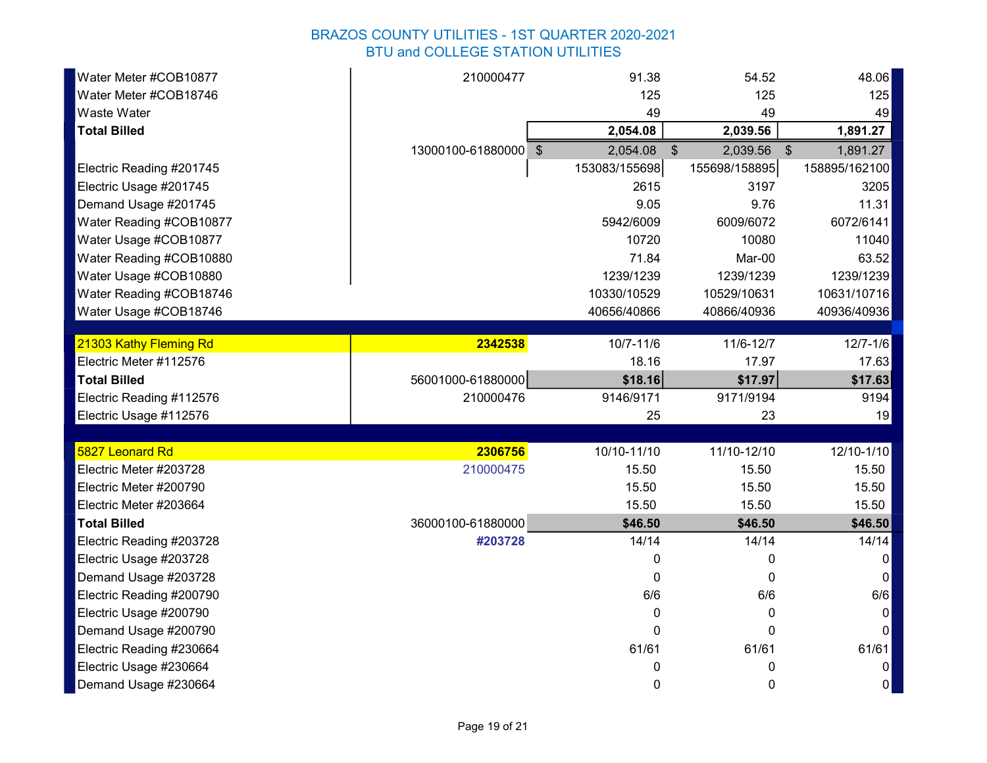| Water Meter #COB10877    | 210000477            | 91.38         | 54.52             | 48.06         |
|--------------------------|----------------------|---------------|-------------------|---------------|
| Water Meter #COB18746    |                      | 125           | 125               | 125           |
| Waste Water              |                      | 49            | 49                | 49            |
| <b>Total Billed</b>      |                      | 2,054.08      | 2,039.56          | 1,891.27      |
|                          | 13000100-61880000 \$ | 2,054.08      | 2,039.56 \$<br>\$ | 1,891.27      |
| Electric Reading #201745 |                      | 153083/155698 | 155698/158895     | 158895/162100 |
| Electric Usage #201745   |                      | 2615          | 3197              | 3205          |
| Demand Usage #201745     |                      | 9.05          | 9.76              | 11.31         |
| Water Reading #COB10877  |                      | 5942/6009     | 6009/6072         | 6072/6141     |
| Water Usage #COB10877    |                      | 10720         | 10080             | 11040         |
| Water Reading #COB10880  |                      | 71.84         | Mar-00            | 63.52         |
| Water Usage #COB10880    |                      | 1239/1239     | 1239/1239         | 1239/1239     |
| Water Reading #COB18746  |                      | 10330/10529   | 10529/10631       | 10631/10716   |
| Water Usage #COB18746    |                      | 40656/40866   | 40866/40936       | 40936/40936   |
|                          |                      |               |                   |               |
| 21303 Kathy Fleming Rd   | 2342538              | $10/7 - 11/6$ | 11/6-12/7         | $12/7 - 1/6$  |
| Electric Meter #112576   |                      | 18.16         | 17.97             | 17.63         |
| <b>Total Billed</b>      | 56001000-61880000    | \$18.16       | \$17.97           | \$17.63       |
| Electric Reading #112576 | 210000476            | 9146/9171     | 9171/9194         | 9194          |
| Electric Usage #112576   |                      | 25            | 23                | 19            |
| 5827 Leonard Rd          | 2306756              | 10/10-11/10   | 11/10-12/10       | 12/10-1/10    |
| Electric Meter #203728   | 210000475            | 15.50         | 15.50             | 15.50         |
| Electric Meter #200790   |                      | 15.50         | 15.50             | 15.50         |
| Electric Meter #203664   |                      | 15.50         | 15.50             | 15.50         |
| <b>Total Billed</b>      | 36000100-61880000    | \$46.50       | \$46.50           | \$46.50       |
| Electric Reading #203728 | #203728              | 14/14         | 14/14             | 14/14         |
| Electric Usage #203728   |                      | 0             | 0                 | 0             |
|                          |                      | $\Omega$      | 0                 | 0             |
| Demand Usage #203728     |                      |               |                   |               |
| Electric Reading #200790 |                      | 6/6           | 6/6               | 6/6           |
| Electric Usage #200790   |                      | 0             | 0                 | $\mathbf{0}$  |
| Demand Usage #200790     |                      | $\Omega$      | $\Omega$          | 0             |
| Electric Reading #230664 |                      | 61/61         | 61/61             | 61/61         |
| Electric Usage #230664   |                      | 0             | 0                 | 0             |
| Demand Usage #230664     |                      | 0             | 0                 | 0             |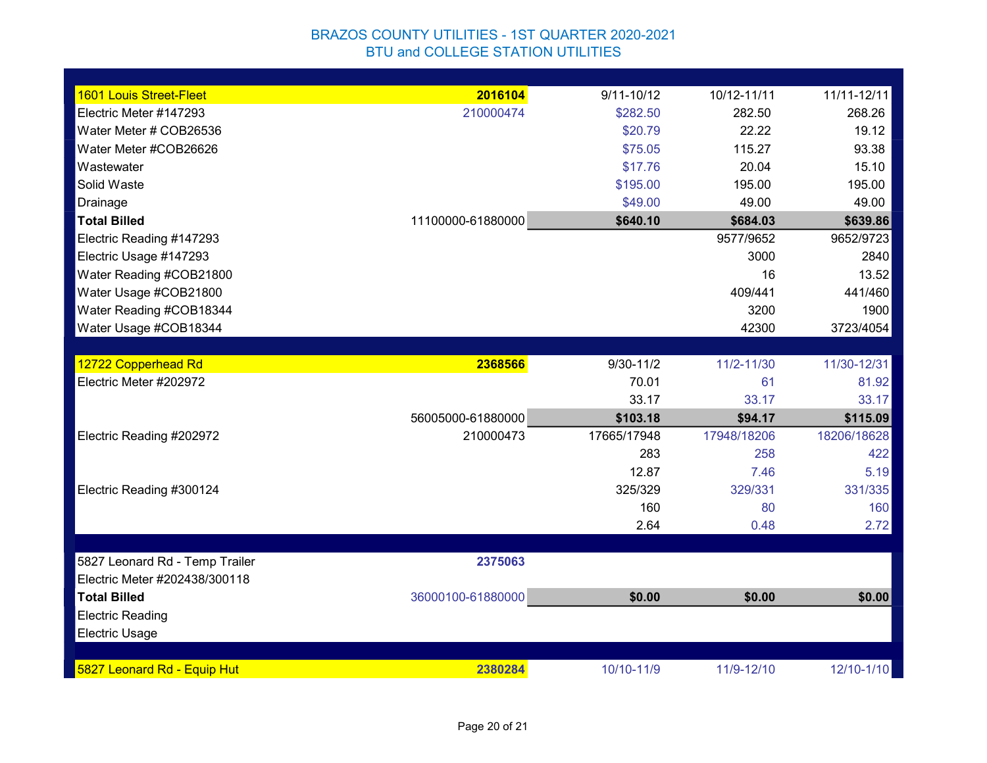| 1601 Louis Street-Fleet        | 2016104           | $9/11 - 10/12$ | 10/12-11/11 | 11/11-12/11 |
|--------------------------------|-------------------|----------------|-------------|-------------|
| Electric Meter #147293         | 210000474         | \$282.50       | 282.50      | 268.26      |
| Water Meter # COB26536         |                   | \$20.79        | 22.22       | 19.12       |
| Water Meter #COB26626          |                   | \$75.05        | 115.27      | 93.38       |
| Wastewater                     |                   | \$17.76        | 20.04       | 15.10       |
| Solid Waste                    |                   | \$195.00       | 195.00      | 195.00      |
| Drainage                       |                   | \$49.00        | 49.00       | 49.00       |
| <b>Total Billed</b>            | 11100000-61880000 | \$640.10       | \$684.03    | \$639.86    |
| Electric Reading #147293       |                   |                | 9577/9652   | 9652/9723   |
| Electric Usage #147293         |                   |                | 3000        | 2840        |
| Water Reading #COB21800        |                   |                | 16          | 13.52       |
| Water Usage #COB21800          |                   |                | 409/441     | 441/460     |
| Water Reading #COB18344        |                   |                | 3200        | 1900        |
| Water Usage #COB18344          |                   |                | 42300       | 3723/4054   |
|                                |                   |                |             |             |
| 12722 Copperhead Rd            | 2368566           | $9/30 - 11/2$  | 11/2-11/30  | 11/30-12/31 |
| Electric Meter #202972         |                   | 70.01          | 61          | 81.92       |
|                                |                   | 33.17          | 33.17       | 33.17       |
|                                | 56005000-61880000 | \$103.18       | \$94.17     | \$115.09    |
| Electric Reading #202972       | 210000473         | 17665/17948    | 17948/18206 | 18206/18628 |
|                                |                   | 283            | 258         | 422         |
|                                |                   | 12.87          | 7.46        | 5.19        |
| Electric Reading #300124       |                   | 325/329        | 329/331     | 331/335     |
|                                |                   | 160            | 80          | 160         |
|                                |                   | 2.64           | 0.48        | 2.72        |
|                                |                   |                |             |             |
| 5827 Leonard Rd - Temp Trailer | 2375063           |                |             |             |
| Electric Meter #202438/300118  |                   |                |             |             |
| <b>Total Billed</b>            | 36000100-61880000 | \$0.00         | \$0.00      | \$0.00      |
| <b>Electric Reading</b>        |                   |                |             |             |
| <b>Electric Usage</b>          |                   |                |             |             |
|                                |                   |                |             |             |
| 5827 Leonard Rd - Equip Hut    | 2380284           | 10/10-11/9     | 11/9-12/10  | 12/10-1/10  |